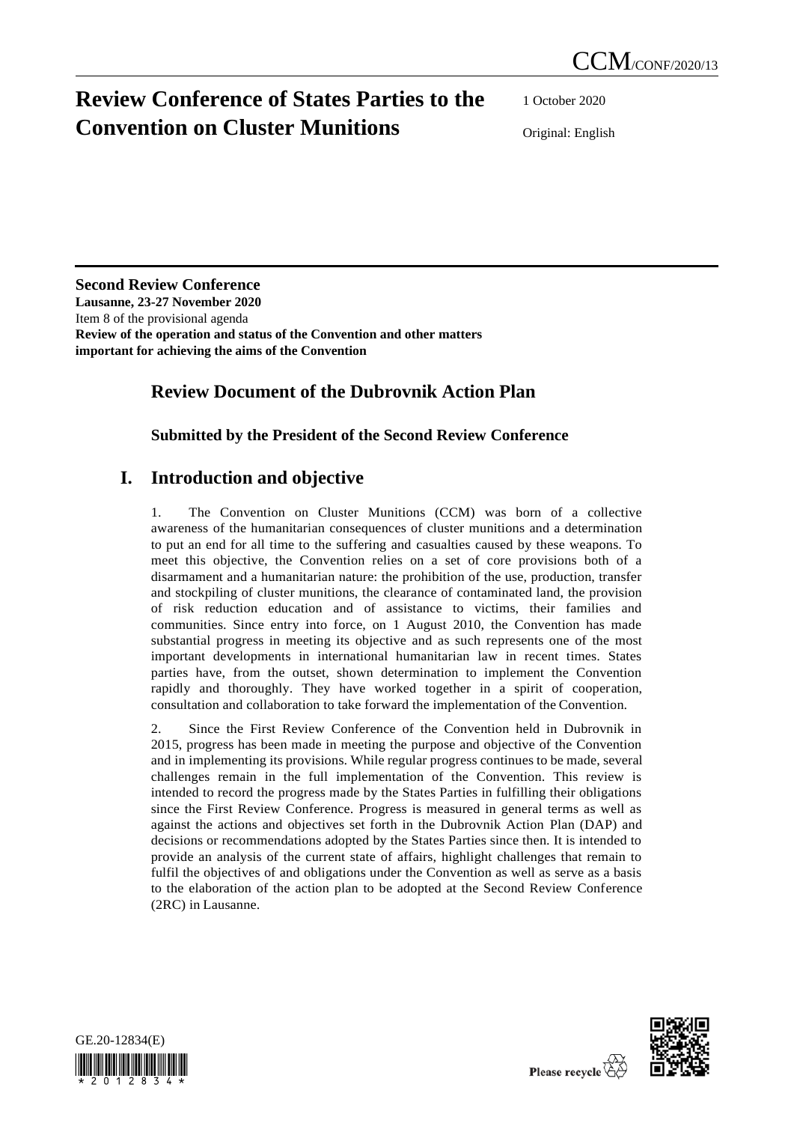# **Review Conference of States Parties to the Convention on Cluster Munitions**

1 October 2020

Original: English

**Second Review Conference Lausanne, 23-27 November 2020** Item 8 of the provisional agenda **Review of the operation and status of the Convention and other matters important for achieving the aims of the Convention**

# **Review Document of the Dubrovnik Action Plan**

## **Submitted by the President of the Second Review Conference**

# **I. Introduction and objective**

1. The Convention on Cluster Munitions (CCM) was born of a collective awareness of the humanitarian consequences of cluster munitions and a determination to put an end for all time to the suffering and casualties caused by these weapons. To meet this objective, the Convention relies on a set of core provisions both of a disarmament and a humanitarian nature: the prohibition of the use, production, transfer and stockpiling of cluster munitions, the clearance of contaminated land, the provision of risk reduction education and of assistance to victims, their families and communities. Since entry into force, on 1 August 2010, the Convention has made substantial progress in meeting its objective and as such represents one of the most important developments in international humanitarian law in recent times. States parties have, from the outset, shown determination to implement the Convention rapidly and thoroughly. They have worked together in a spirit of cooperation, consultation and collaboration to take forward the implementation of the Convention.

2. Since the First Review Conference of the Convention held in Dubrovnik in 2015, progress has been made in meeting the purpose and objective of the Convention and in implementing its provisions. While regular progress continues to be made, several challenges remain in the full implementation of the Convention. This review is intended to record the progress made by the States Parties in fulfilling their obligations since the First Review Conference. Progress is measured in general terms as well as against the actions and objectives set forth in the Dubrovnik Action Plan (DAP) and decisions or recommendations adopted by the States Parties since then. It is intended to provide an analysis of the current state of affairs, highlight challenges that remain to fulfil the objectives of and obligations under the Convention as well as serve as a basis to the elaboration of the action plan to be adopted at the Second Review Conference (2RC) in Lausanne.



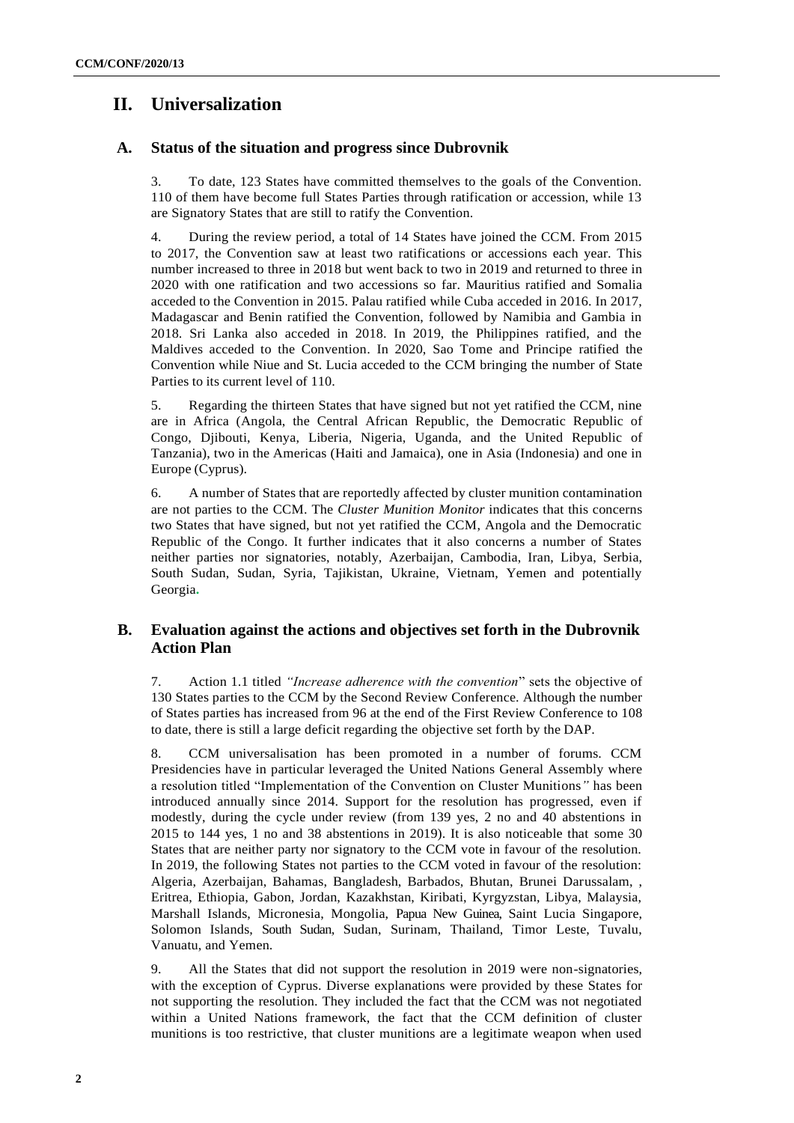# **II. Universalization**

## **A. Status of the situation and progress since Dubrovnik**

3. To date, 123 States have committed themselves to the goals of the Convention. 110 of them have become full States Parties through ratification or accession, while 13 are Signatory States that are still to ratify the Convention.

4. During the review period, a total of 14 States have joined the CCM. From 2015 to 2017, the Convention saw at least two ratifications or accessions each year. This number increased to three in 2018 but went back to two in 2019 and returned to three in 2020 with one ratification and two accessions so far. Mauritius ratified and Somalia acceded to the Convention in 2015. Palau ratified while Cuba acceded in 2016. In 2017, Madagascar and Benin ratified the Convention, followed by Namibia and Gambia in 2018. Sri Lanka also acceded in 2018. In 2019, the Philippines ratified, and the Maldives acceded to the Convention. In 2020, Sao Tome and Principe ratified the Convention while Niue and St. Lucia acceded to the CCM bringing the number of State Parties to its current level of 110.

5. Regarding the thirteen States that have signed but not yet ratified the CCM, nine are in Africa (Angola, the Central African Republic, the Democratic Republic of Congo, Djibouti, Kenya, Liberia, Nigeria, Uganda, and the United Republic of Tanzania), two in the Americas (Haiti and Jamaica), one in Asia (Indonesia) and one in Europe (Cyprus).

6. A number of States that are reportedly affected by cluster munition contamination are not parties to the CCM. The *Cluster Munition Monitor* indicates that this concerns two States that have signed, but not yet ratified the CCM, Angola and the Democratic Republic of the Congo. It further indicates that it also concerns a number of States neither parties nor signatories, notably, Azerbaijan, Cambodia, Iran, Libya, Serbia, South Sudan, Sudan, Syria, Tajikistan, Ukraine, Vietnam, Yemen and potentially Georgia**.**

## **B. Evaluation against the actions and objectives set forth in the Dubrovnik Action Plan**

7. Action 1.1 titled *"Increase adherence with the convention*" sets the objective of 130 States parties to the CCM by the Second Review Conference. Although the number of States parties has increased from 96 at the end of the First Review Conference to 108 to date, there is still a large deficit regarding the objective set forth by the DAP.

8. CCM universalisation has been promoted in a number of forums. CCM Presidencies have in particular leveraged the United Nations General Assembly where a resolution titled "Implementation of the Convention on Cluster Munitions*"* has been introduced annually since 2014. Support for the resolution has progressed, even if modestly, during the cycle under review (from 139 yes, 2 no and 40 abstentions in 2015 to 144 yes, 1 no and 38 abstentions in 2019). It is also noticeable that some 30 States that are neither party nor signatory to the CCM vote in favour of the resolution. In 2019, the following States not parties to the CCM voted in favour of the resolution: Algeria, Azerbaijan, Bahamas, Bangladesh, Barbados, Bhutan, Brunei Darussalam, , Eritrea, Ethiopia, Gabon, Jordan, Kazakhstan, Kiribati, Kyrgyzstan, Libya, Malaysia, Marshall Islands, Micronesia, Mongolia, Papua New Guinea, Saint Lucia Singapore, Solomon Islands, South Sudan, Sudan, Surinam, Thailand, Timor Leste, Tuvalu, Vanuatu, and Yemen.

9. All the States that did not support the resolution in 2019 were non-signatories, with the exception of Cyprus. Diverse explanations were provided by these States for not supporting the resolution. They included the fact that the CCM was not negotiated within a United Nations framework, the fact that the CCM definition of cluster munitions is too restrictive, that cluster munitions are a legitimate weapon when used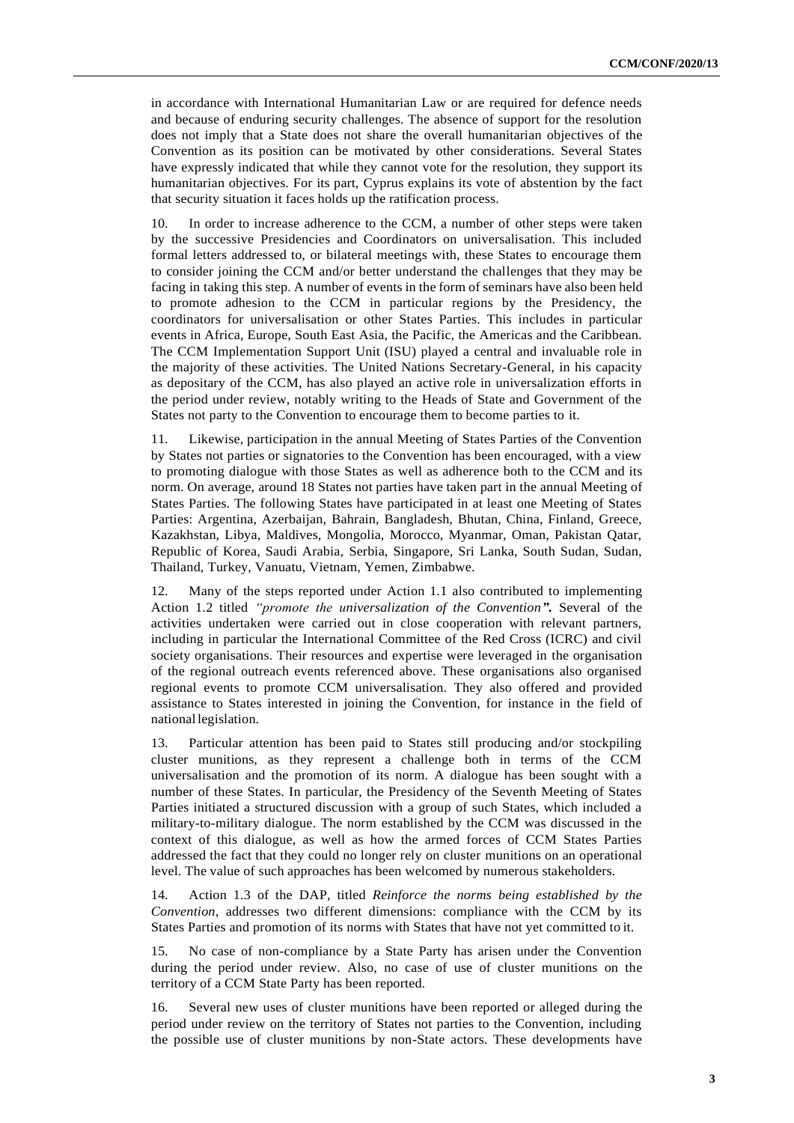in accordance with International Humanitarian Law or are required for defence needs and because of enduring security challenges. The absence of support for the resolution does not imply that a State does not share the overall humanitarian objectives of the Convention as its position can be motivated by other considerations. Several States have expressly indicated that while they cannot vote for the resolution, they support its humanitarian objectives. For its part, Cyprus explains its vote of abstention by the fact that security situation it faces holds up the ratification process.

10. In order to increase adherence to the CCM, a number of other steps were taken by the successive Presidencies and Coordinators on universalisation. This included formal letters addressed to, or bilateral meetings with, these States to encourage them to consider joining the CCM and/or better understand the challenges that they may be facing in taking this step. A number of events in the form of seminars have also been held to promote adhesion to the CCM in particular regions by the Presidency, the coordinators for universalisation or other States Parties. This includes in particular events in Africa, Europe, South East Asia, the Pacific, the Americas and the Caribbean. The CCM Implementation Support Unit (ISU) played a central and invaluable role in the majority of these activities. The United Nations Secretary-General, in his capacity as depositary of the CCM, has also played an active role in universalization efforts in the period under review, notably writing to the Heads of State and Government of the States not party to the Convention to encourage them to become parties to it.

11. Likewise, participation in the annual Meeting of States Parties of the Convention by States not parties or signatories to the Convention has been encouraged, with a view to promoting dialogue with those States as well as adherence both to the CCM and its norm. On average, around 18 States not parties have taken part in the annual Meeting of States Parties. The following States have participated in at least one Meeting of States Parties: Argentina, Azerbaijan, Bahrain, Bangladesh, Bhutan, China, Finland, Greece, Kazakhstan, Libya, Maldives, Mongolia, Morocco, Myanmar, Oman, Pakistan Qatar, Republic of Korea, Saudi Arabia, Serbia, Singapore, Sri Lanka, South Sudan, Sudan, Thailand, Turkey, Vanuatu, Vietnam, Yemen, Zimbabwe.

12. Many of the steps reported under Action 1.1 also contributed to implementing Action 1.2 titled *"promote the universalization of the Convention"***.** Several of the activities undertaken were carried out in close cooperation with relevant partners, including in particular the International Committee of the Red Cross (ICRC) and civil society organisations. Their resources and expertise were leveraged in the organisation of the regional outreach events referenced above. These organisations also organised regional events to promote CCM universalisation. They also offered and provided assistance to States interested in joining the Convention, for instance in the field of nationallegislation.

13. Particular attention has been paid to States still producing and/or stockpiling cluster munitions, as they represent a challenge both in terms of the CCM universalisation and the promotion of its norm. A dialogue has been sought with a number of these States. In particular, the Presidency of the Seventh Meeting of States Parties initiated a structured discussion with a group of such States, which included a military-to-military dialogue. The norm established by the CCM was discussed in the context of this dialogue, as well as how the armed forces of CCM States Parties addressed the fact that they could no longer rely on cluster munitions on an operational level. The value of such approaches has been welcomed by numerous stakeholders.

14. Action 1.3 of the DAP, titled *Reinforce the norms being established by the Convention*, addresses two different dimensions: compliance with the CCM by its States Parties and promotion of its norms with States that have not yet committed to it.

15. No case of non-compliance by a State Party has arisen under the Convention during the period under review. Also, no case of use of cluster munitions on the territory of a CCM State Party has been reported.

16. Several new uses of cluster munitions have been reported or alleged during the period under review on the territory of States not parties to the Convention, including the possible use of cluster munitions by non-State actors. These developments have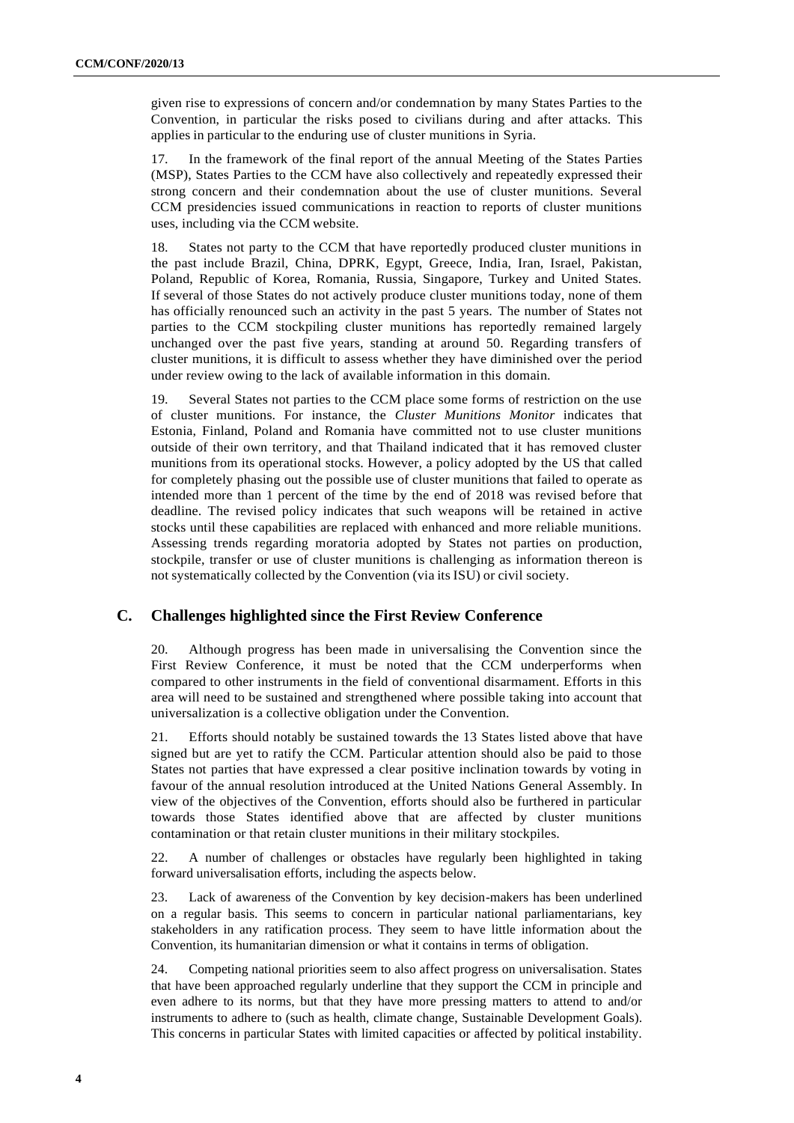given rise to expressions of concern and/or condemnation by many States Parties to the Convention, in particular the risks posed to civilians during and after attacks. This applies in particular to the enduring use of cluster munitions in Syria.

17. In the framework of the final report of the annual Meeting of the States Parties (MSP), States Parties to the CCM have also collectively and repeatedly expressed their strong concern and their condemnation about the use of cluster munitions. Several CCM presidencies issued communications in reaction to reports of cluster munitions uses, including via the CCM website.

18. States not party to the CCM that have reportedly produced cluster munitions in the past include Brazil, China, DPRK, Egypt, Greece, India, Iran, Israel, Pakistan, Poland, Republic of Korea, Romania, Russia, Singapore, Turkey and United States. If several of those States do not actively produce cluster munitions today, none of them has officially renounced such an activity in the past 5 years. The number of States not parties to the CCM stockpiling cluster munitions has reportedly remained largely unchanged over the past five years, standing at around 50. Regarding transfers of cluster munitions, it is difficult to assess whether they have diminished over the period under review owing to the lack of available information in this domain.

19. Several States not parties to the CCM place some forms of restriction on the use of cluster munitions. For instance, the *Cluster Munitions Monitor* indicates that Estonia, Finland, Poland and Romania have committed not to use cluster munitions outside of their own territory, and that Thailand indicated that it has removed cluster munitions from its operational stocks. However, a policy adopted by the US that called for completely phasing out the possible use of cluster munitions that failed to operate as intended more than 1 percent of the time by the end of 2018 was revised before that deadline. The revised policy indicates that such weapons will be retained in active stocks until these capabilities are replaced with enhanced and more reliable munitions. Assessing trends regarding moratoria adopted by States not parties on production, stockpile, transfer or use of cluster munitions is challenging as information thereon is not systematically collected by the Convention (via its ISU) or civil society.

## **C. Challenges highlighted since the First Review Conference**

20. Although progress has been made in universalising the Convention since the First Review Conference, it must be noted that the CCM underperforms when compared to other instruments in the field of conventional disarmament. Efforts in this area will need to be sustained and strengthened where possible taking into account that universalization is a collective obligation under the Convention.

21. Efforts should notably be sustained towards the 13 States listed above that have signed but are yet to ratify the CCM. Particular attention should also be paid to those States not parties that have expressed a clear positive inclination towards by voting in favour of the annual resolution introduced at the United Nations General Assembly. In view of the objectives of the Convention, efforts should also be furthered in particular towards those States identified above that are affected by cluster munitions contamination or that retain cluster munitions in their military stockpiles.

22. A number of challenges or obstacles have regularly been highlighted in taking forward universalisation efforts, including the aspects below.

23. Lack of awareness of the Convention by key decision-makers has been underlined on a regular basis. This seems to concern in particular national parliamentarians, key stakeholders in any ratification process. They seem to have little information about the Convention, its humanitarian dimension or what it contains in terms of obligation.

24. Competing national priorities seem to also affect progress on universalisation. States that have been approached regularly underline that they support the CCM in principle and even adhere to its norms, but that they have more pressing matters to attend to and/or instruments to adhere to (such as health, climate change, Sustainable Development Goals). This concerns in particular States with limited capacities or affected by political instability.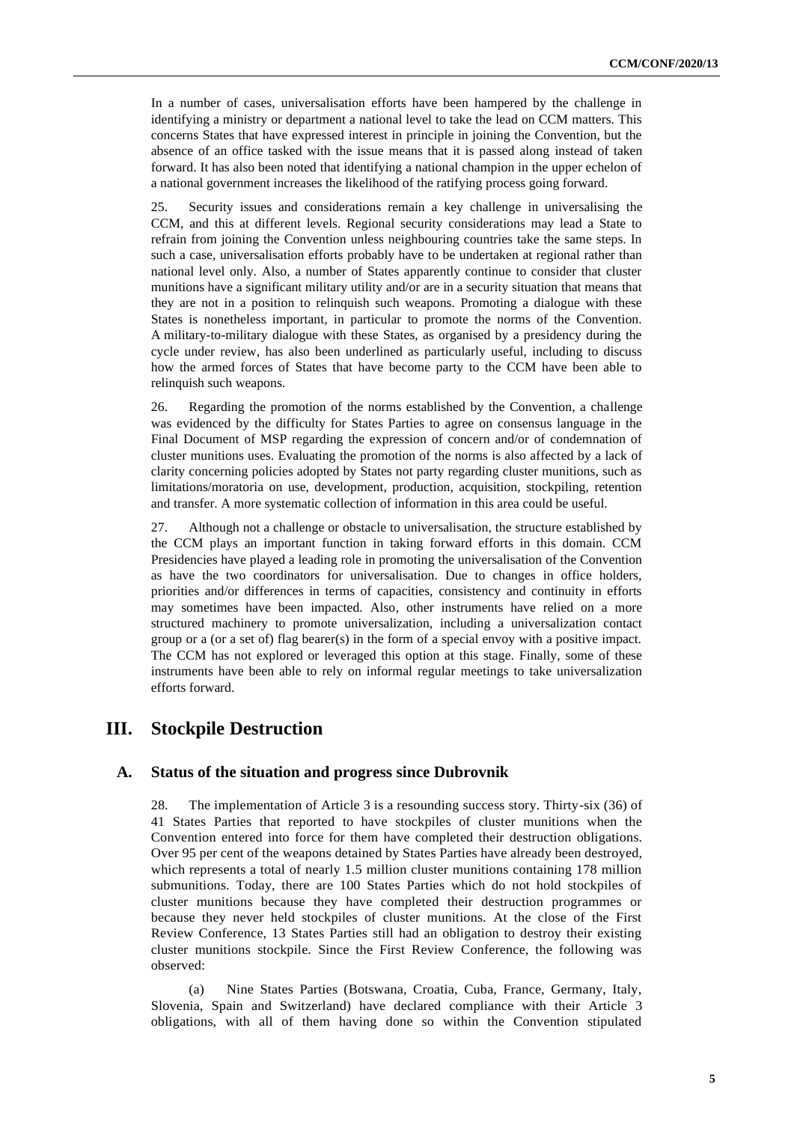In a number of cases, universalisation efforts have been hampered by the challenge in identifying a ministry or department a national level to take the lead on CCM matters. This concerns States that have expressed interest in principle in joining the Convention, but the absence of an office tasked with the issue means that it is passed along instead of taken forward. It has also been noted that identifying a national champion in the upper echelon of a national government increases the likelihood of the ratifying process going forward.

25. Security issues and considerations remain a key challenge in universalising the CCM, and this at different levels. Regional security considerations may lead a State to refrain from joining the Convention unless neighbouring countries take the same steps. In such a case, universalisation efforts probably have to be undertaken at regional rather than national level only. Also, a number of States apparently continue to consider that cluster munitions have a significant military utility and/or are in a security situation that means that they are not in a position to relinquish such weapons. Promoting a dialogue with these States is nonetheless important, in particular to promote the norms of the Convention. A military-to-military dialogue with these States, as organised by a presidency during the cycle under review, has also been underlined as particularly useful, including to discuss how the armed forces of States that have become party to the CCM have been able to relinquish such weapons.

26. Regarding the promotion of the norms established by the Convention, a challenge was evidenced by the difficulty for States Parties to agree on consensus language in the Final Document of MSP regarding the expression of concern and/or of condemnation of cluster munitions uses. Evaluating the promotion of the norms is also affected by a lack of clarity concerning policies adopted by States not party regarding cluster munitions, such as limitations/moratoria on use, development, production, acquisition, stockpiling, retention and transfer. A more systematic collection of information in this area could be useful.

27. Although not a challenge or obstacle to universalisation, the structure established by the CCM plays an important function in taking forward efforts in this domain. CCM Presidencies have played a leading role in promoting the universalisation of the Convention as have the two coordinators for universalisation. Due to changes in office holders, priorities and/or differences in terms of capacities, consistency and continuity in efforts may sometimes have been impacted. Also, other instruments have relied on a more structured machinery to promote universalization, including a universalization contact group or a (or a set of) flag bearer(s) in the form of a special envoy with a positive impact. The CCM has not explored or leveraged this option at this stage. Finally, some of these instruments have been able to rely on informal regular meetings to take universalization efforts forward.

## **III. Stockpile Destruction**

#### **A. Status of the situation and progress since Dubrovnik**

28. The implementation of Article 3 is a resounding success story. Thirty-six (36) of 41 States Parties that reported to have stockpiles of cluster munitions when the Convention entered into force for them have completed their destruction obligations. Over 95 per cent of the weapons detained by States Parties have already been destroyed, which represents a total of nearly 1.5 million cluster munitions containing 178 million submunitions. Today, there are 100 States Parties which do not hold stockpiles of cluster munitions because they have completed their destruction programmes or because they never held stockpiles of cluster munitions. At the close of the First Review Conference, 13 States Parties still had an obligation to destroy their existing cluster munitions stockpile. Since the First Review Conference, the following was observed:

(a) Nine States Parties (Botswana, Croatia, Cuba, France, Germany, Italy, Slovenia, Spain and Switzerland) have declared compliance with their Article 3 obligations, with all of them having done so within the Convention stipulated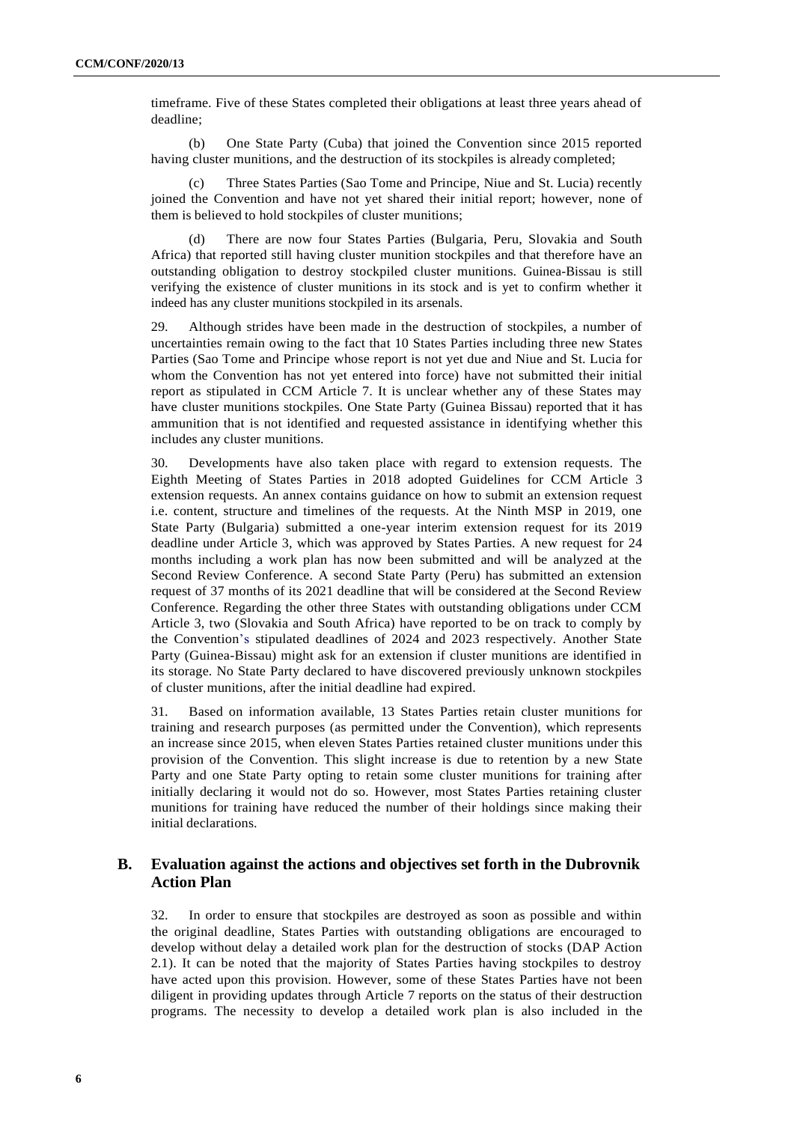timeframe. Five of these States completed their obligations at least three years ahead of deadline;

(b) One State Party (Cuba) that joined the Convention since 2015 reported having cluster munitions, and the destruction of its stockpiles is already completed;

(c) Three States Parties (Sao Tome and Principe, Niue and St. Lucia) recently joined the Convention and have not yet shared their initial report; however, none of them is believed to hold stockpiles of cluster munitions;

(d) There are now four States Parties (Bulgaria, Peru, Slovakia and South Africa) that reported still having cluster munition stockpiles and that therefore have an outstanding obligation to destroy stockpiled cluster munitions. Guinea-Bissau is still verifying the existence of cluster munitions in its stock and is yet to confirm whether it indeed has any cluster munitions stockpiled in its arsenals.

29. Although strides have been made in the destruction of stockpiles, a number of uncertainties remain owing to the fact that 10 States Parties including three new States Parties (Sao Tome and Principe whose report is not yet due and Niue and St. Lucia for whom the Convention has not yet entered into force) have not submitted their initial report as stipulated in CCM Article 7. It is unclear whether any of these States may have cluster munitions stockpiles. One State Party (Guinea Bissau) reported that it has ammunition that is not identified and requested assistance in identifying whether this includes any cluster munitions.

30. Developments have also taken place with regard to extension requests. The Eighth Meeting of States Parties in 2018 adopted Guidelines for CCM Article 3 extension requests. An annex contains guidance on how to submit an extension request i.e. content, structure and timelines of the requests. At the Ninth MSP in 2019, one State Party (Bulgaria) submitted a one-year interim extension request for its 2019 deadline under Article 3, which was approved by States Parties. A new request for 24 months including a work plan has now been submitted and will be analyzed at the Second Review Conference. A second State Party (Peru) has submitted an extension request of 37 months of its 2021 deadline that will be considered at the Second Review Conference. Regarding the other three States with outstanding obligations under CCM Article 3, two (Slovakia and South Africa) have reported to be on track to comply by the Convention's stipulated deadlines of 2024 and 2023 respectively. Another State Party (Guinea-Bissau) might ask for an extension if cluster munitions are identified in its storage. No State Party declared to have discovered previously unknown stockpiles of cluster munitions, after the initial deadline had expired.

31. Based on information available, 13 States Parties retain cluster munitions for training and research purposes (as permitted under the Convention), which represents an increase since 2015, when eleven States Parties retained cluster munitions under this provision of the Convention. This slight increase is due to retention by a new State Party and one State Party opting to retain some cluster munitions for training after initially declaring it would not do so. However, most States Parties retaining cluster munitions for training have reduced the number of their holdings since making their initial declarations.

## **B. Evaluation against the actions and objectives set forth in the Dubrovnik Action Plan**

32. In order to ensure that stockpiles are destroyed as soon as possible and within the original deadline, States Parties with outstanding obligations are encouraged to develop without delay a detailed work plan for the destruction of stocks (DAP Action 2.1). It can be noted that the majority of States Parties having stockpiles to destroy have acted upon this provision. However, some of these States Parties have not been diligent in providing updates through Article 7 reports on the status of their destruction programs. The necessity to develop a detailed work plan is also included in the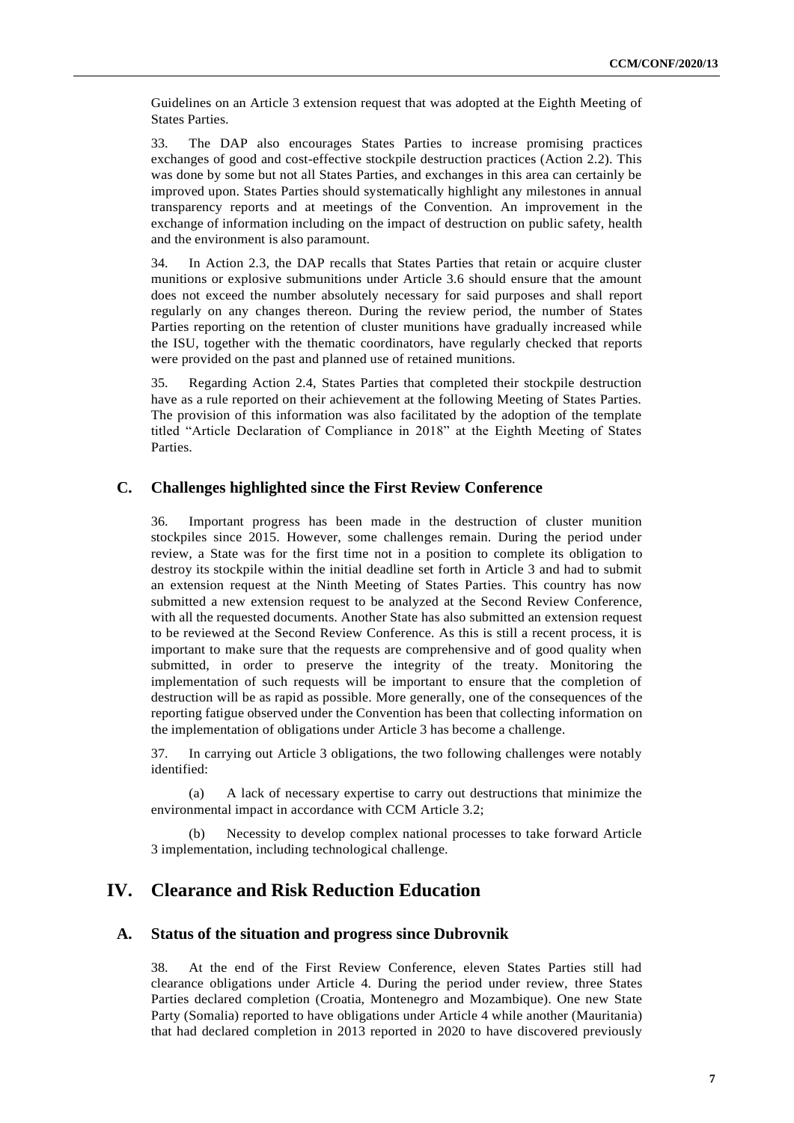Guidelines on an Article 3 extension request that was adopted at the Eighth Meeting of States Parties.

33. The DAP also encourages States Parties to increase promising practices exchanges of good and cost-effective stockpile destruction practices (Action 2.2). This was done by some but not all States Parties, and exchanges in this area can certainly be improved upon. States Parties should systematically highlight any milestones in annual transparency reports and at meetings of the Convention. An improvement in the exchange of information including on the impact of destruction on public safety, health and the environment is also paramount.

34. In Action 2.3, the DAP recalls that States Parties that retain or acquire cluster munitions or explosive submunitions under Article 3.6 should ensure that the amount does not exceed the number absolutely necessary for said purposes and shall report regularly on any changes thereon. During the review period, the number of States Parties reporting on the retention of cluster munitions have gradually increased while the ISU, together with the thematic coordinators, have regularly checked that reports were provided on the past and planned use of retained munitions.

35. Regarding Action 2.4, States Parties that completed their stockpile destruction have as a rule reported on their achievement at the following Meeting of States Parties. The provision of this information was also facilitated by the adoption of the template titled "Article Declaration of Compliance in 2018" at the Eighth Meeting of States Parties.

#### **C. Challenges highlighted since the First Review Conference**

36. Important progress has been made in the destruction of cluster munition stockpiles since 2015. However, some challenges remain. During the period under review, a State was for the first time not in a position to complete its obligation to destroy its stockpile within the initial deadline set forth in Article 3 and had to submit an extension request at the Ninth Meeting of States Parties. This country has now submitted a new extension request to be analyzed at the Second Review Conference, with all the requested documents. Another State has also submitted an extension request to be reviewed at the Second Review Conference. As this is still a recent process, it is important to make sure that the requests are comprehensive and of good quality when submitted, in order to preserve the integrity of the treaty. Monitoring the implementation of such requests will be important to ensure that the completion of destruction will be as rapid as possible. More generally, one of the consequences of the reporting fatigue observed under the Convention has been that collecting information on the implementation of obligations under Article 3 has become a challenge.

37. In carrying out Article 3 obligations, the two following challenges were notably identified:

(a) A lack of necessary expertise to carry out destructions that minimize the environmental impact in accordance with CCM Article 3.2;

Necessity to develop complex national processes to take forward Article 3 implementation, including technological challenge.

# **IV. Clearance and Risk Reduction Education**

#### **A. Status of the situation and progress since Dubrovnik**

38. At the end of the First Review Conference, eleven States Parties still had clearance obligations under Article 4. During the period under review, three States Parties declared completion (Croatia, Montenegro and Mozambique). One new State Party (Somalia) reported to have obligations under Article 4 while another (Mauritania) that had declared completion in 2013 reported in 2020 to have discovered previously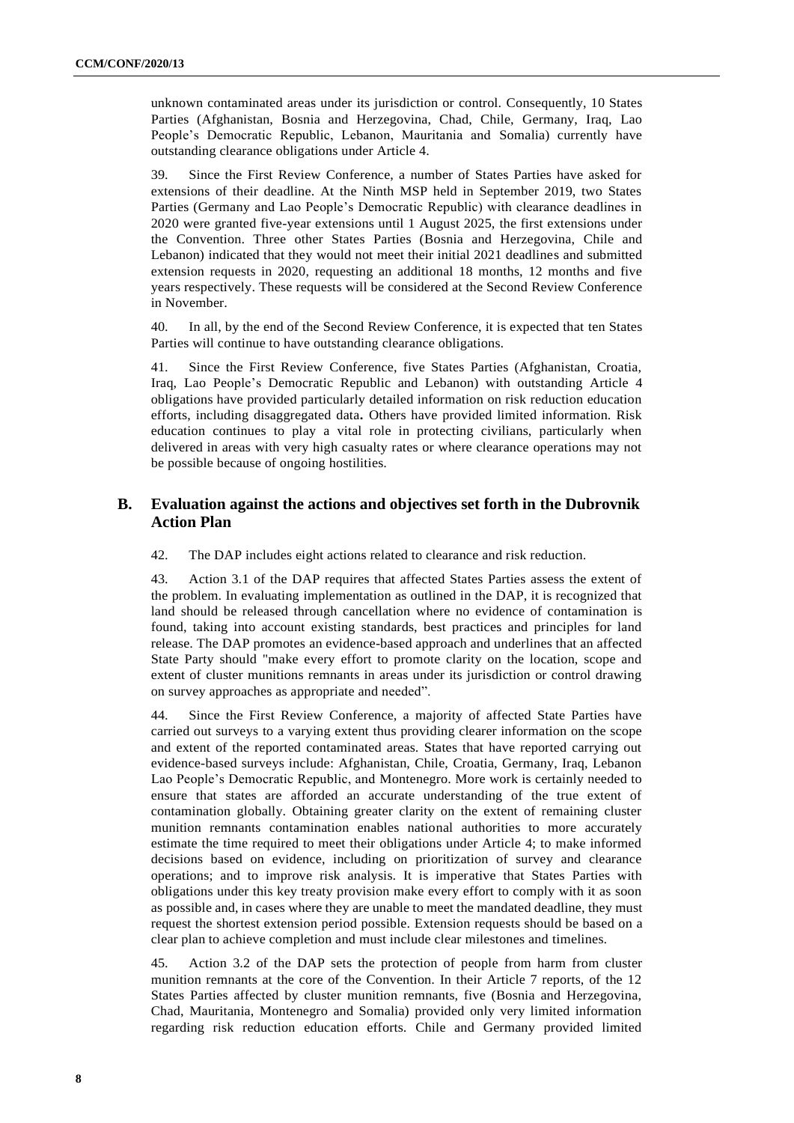unknown contaminated areas under its jurisdiction or control. Consequently, 10 States Parties (Afghanistan, Bosnia and Herzegovina, Chad, Chile, Germany, Iraq, Lao People's Democratic Republic, Lebanon, Mauritania and Somalia) currently have outstanding clearance obligations under Article 4.

39. Since the First Review Conference, a number of States Parties have asked for extensions of their deadline. At the Ninth MSP held in September 2019, two States Parties (Germany and Lao People's Democratic Republic) with clearance deadlines in 2020 were granted five-year extensions until 1 August 2025, the first extensions under the Convention. Three other States Parties (Bosnia and Herzegovina, Chile and Lebanon) indicated that they would not meet their initial 2021 deadlines and submitted extension requests in 2020, requesting an additional 18 months, 12 months and five years respectively. These requests will be considered at the Second Review Conference in November.

40. In all, by the end of the Second Review Conference, it is expected that ten States Parties will continue to have outstanding clearance obligations.

41. Since the First Review Conference, five States Parties (Afghanistan, Croatia, Iraq, Lao People's Democratic Republic and Lebanon) with outstanding Article 4 obligations have provided particularly detailed information on risk reduction education efforts, including disaggregated data**.** Others have provided limited information. Risk education continues to play a vital role in protecting civilians, particularly when delivered in areas with very high casualty rates or where clearance operations may not be possible because of ongoing hostilities.

## **B. Evaluation against the actions and objectives set forth in the Dubrovnik Action Plan**

42. The DAP includes eight actions related to clearance and risk reduction.

43. Action 3.1 of the DAP requires that affected States Parties assess the extent of the problem. In evaluating implementation as outlined in the DAP, it is recognized that land should be released through cancellation where no evidence of contamination is found, taking into account existing standards, best practices and principles for land release. The DAP promotes an evidence-based approach and underlines that an affected State Party should "make every effort to promote clarity on the location, scope and extent of cluster munitions remnants in areas under its jurisdiction or control drawing on survey approaches as appropriate and needed".

44. Since the First Review Conference, a majority of affected State Parties have carried out surveys to a varying extent thus providing clearer information on the scope and extent of the reported contaminated areas. States that have reported carrying out evidence-based surveys include: Afghanistan, Chile, Croatia, Germany, Iraq, Lebanon Lao People's Democratic Republic, and Montenegro. More work is certainly needed to ensure that states are afforded an accurate understanding of the true extent of contamination globally. Obtaining greater clarity on the extent of remaining cluster munition remnants contamination enables national authorities to more accurately estimate the time required to meet their obligations under Article 4; to make informed decisions based on evidence, including on prioritization of survey and clearance operations; and to improve risk analysis. It is imperative that States Parties with obligations under this key treaty provision make every effort to comply with it as soon as possible and, in cases where they are unable to meet the mandated deadline, they must request the shortest extension period possible. Extension requests should be based on a clear plan to achieve completion and must include clear milestones and timelines.

45. Action 3.2 of the DAP sets the protection of people from harm from cluster munition remnants at the core of the Convention. In their Article 7 reports, of the 12 States Parties affected by cluster munition remnants, five (Bosnia and Herzegovina, Chad, Mauritania, Montenegro and Somalia) provided only very limited information regarding risk reduction education efforts. Chile and Germany provided limited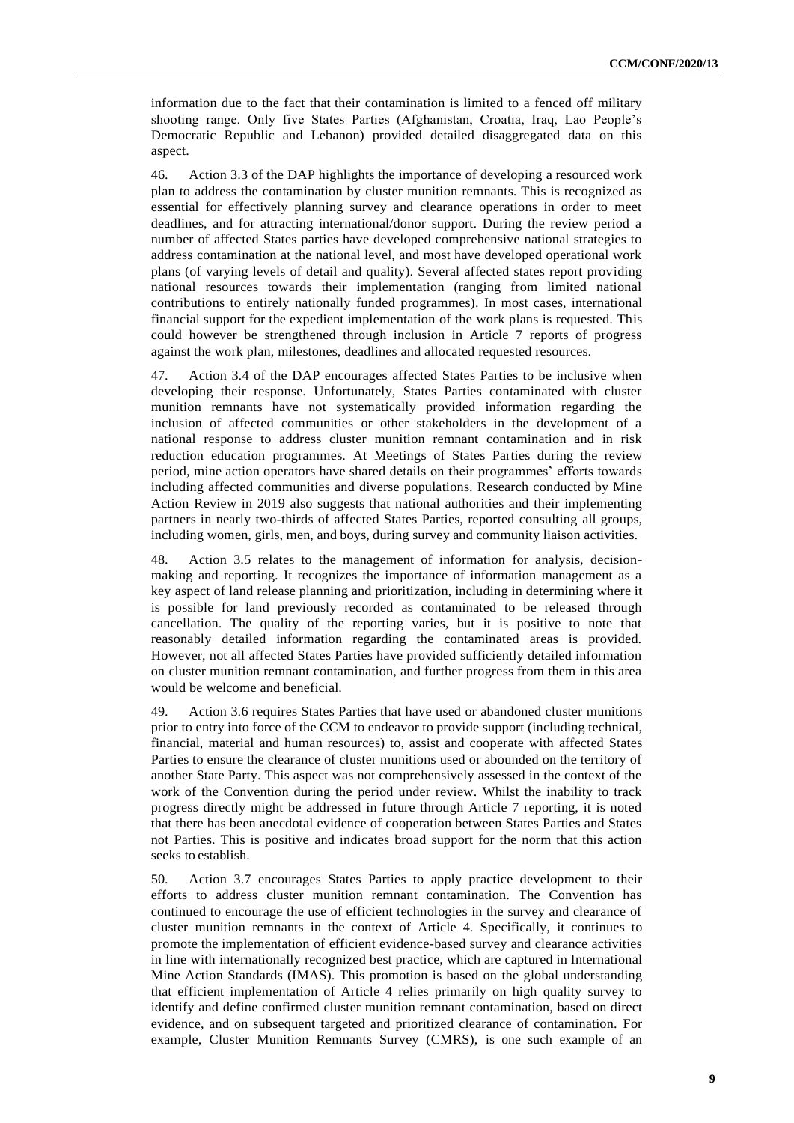information due to the fact that their contamination is limited to a fenced off military shooting range. Only five States Parties (Afghanistan, Croatia, Iraq, Lao People's Democratic Republic and Lebanon) provided detailed disaggregated data on this aspect.

46. Action 3.3 of the DAP highlights the importance of developing a resourced work plan to address the contamination by cluster munition remnants. This is recognized as essential for effectively planning survey and clearance operations in order to meet deadlines, and for attracting international/donor support. During the review period a number of affected States parties have developed comprehensive national strategies to address contamination at the national level, and most have developed operational work plans (of varying levels of detail and quality). Several affected states report providing national resources towards their implementation (ranging from limited national contributions to entirely nationally funded programmes). In most cases, international financial support for the expedient implementation of the work plans is requested. This could however be strengthened through inclusion in Article 7 reports of progress against the work plan, milestones, deadlines and allocated requested resources.

47. Action 3.4 of the DAP encourages affected States Parties to be inclusive when developing their response. Unfortunately, States Parties contaminated with cluster munition remnants have not systematically provided information regarding the inclusion of affected communities or other stakeholders in the development of a national response to address cluster munition remnant contamination and in risk reduction education programmes. At Meetings of States Parties during the review period, mine action operators have shared details on their programmes' efforts towards including affected communities and diverse populations. Research conducted by Mine Action Review in 2019 also suggests that national authorities and their implementing partners in nearly two-thirds of affected States Parties, reported consulting all groups, including women, girls, men, and boys, during survey and community liaison activities.

48. Action 3.5 relates to the management of information for analysis, decisionmaking and reporting. It recognizes the importance of information management as a key aspect of land release planning and prioritization, including in determining where it is possible for land previously recorded as contaminated to be released through cancellation. The quality of the reporting varies, but it is positive to note that reasonably detailed information regarding the contaminated areas is provided. However, not all affected States Parties have provided sufficiently detailed information on cluster munition remnant contamination, and further progress from them in this area would be welcome and beneficial.

49. Action 3.6 requires States Parties that have used or abandoned cluster munitions prior to entry into force of the CCM to endeavor to provide support (including technical, financial, material and human resources) to, assist and cooperate with affected States Parties to ensure the clearance of cluster munitions used or abounded on the territory of another State Party. This aspect was not comprehensively assessed in the context of the work of the Convention during the period under review. Whilst the inability to track progress directly might be addressed in future through Article 7 reporting, it is noted that there has been anecdotal evidence of cooperation between States Parties and States not Parties. This is positive and indicates broad support for the norm that this action seeks to establish.

50. Action 3.7 encourages States Parties to apply practice development to their efforts to address cluster munition remnant contamination. The Convention has continued to encourage the use of efficient technologies in the survey and clearance of cluster munition remnants in the context of Article 4. Specifically, it continues to promote the implementation of efficient evidence-based survey and clearance activities in line with internationally recognized best practice, which are captured in International Mine Action Standards (IMAS). This promotion is based on the global understanding that efficient implementation of Article 4 relies primarily on high quality survey to identify and define confirmed cluster munition remnant contamination, based on direct evidence, and on subsequent targeted and prioritized clearance of contamination. For example, Cluster Munition Remnants Survey (CMRS), is one such example of an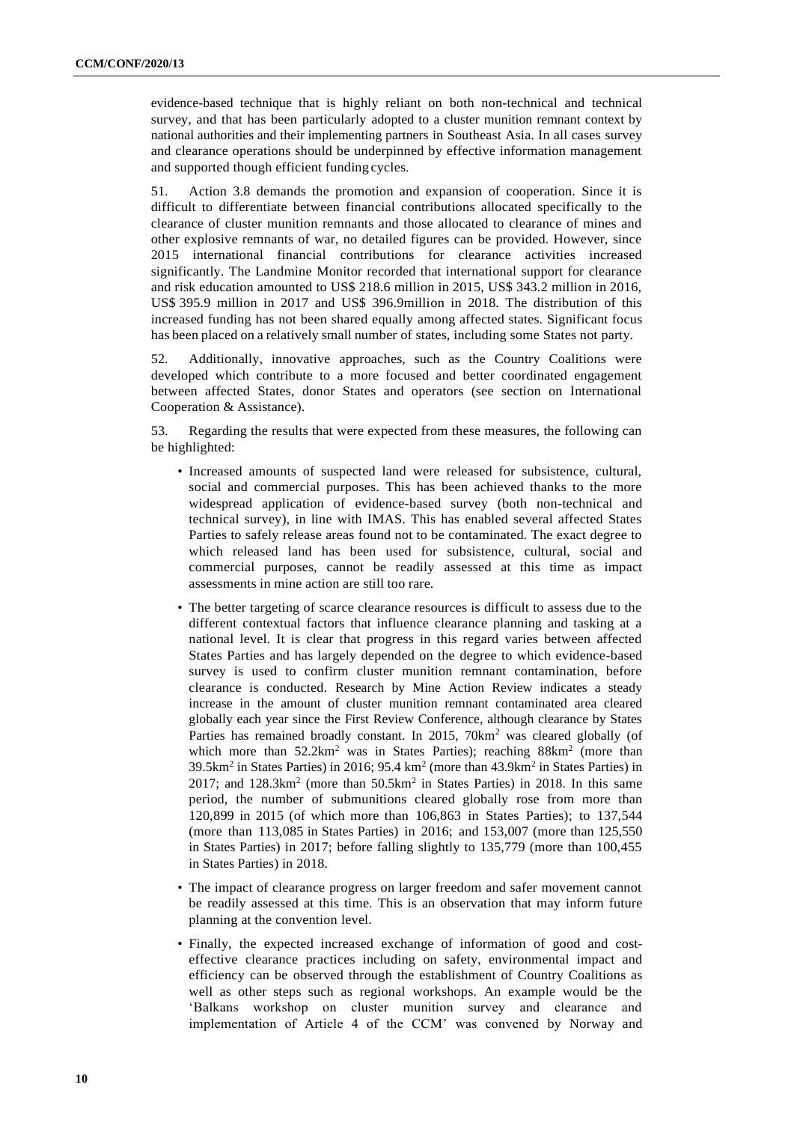evidence-based technique that is highly reliant on both non-technical and technical survey, and that has been particularly adopted to a cluster munition remnant context by national authorities and their implementing partners in Southeast Asia. In all cases survey and clearance operations should be underpinned by effective information management and supported though efficient funding cycles.

51. Action 3.8 demands the promotion and expansion of cooperation. Since it is difficult to differentiate between financial contributions allocated specifically to the clearance of cluster munition remnants and those allocated to clearance of mines and other explosive remnants of war, no detailed figures can be provided. However, since 2015 international financial contributions for clearance activities increased significantly. The Landmine Monitor recorded that international support for clearance and risk education amounted to US\$ 218.6 million in 2015, US\$ 343.2 million in 2016, US\$ 395.9 million in 2017 and US\$ 396.9million in 2018. The distribution of this increased funding has not been shared equally among affected states. Significant focus has been placed on a relatively small number of states, including some States not party.

52. Additionally, innovative approaches, such as the Country Coalitions were developed which contribute to a more focused and better coordinated engagement between affected States, donor States and operators (see section on International Cooperation & Assistance).

53. Regarding the results that were expected from these measures, the following can be highlighted:

- Increased amounts of suspected land were released for subsistence, cultural, social and commercial purposes. This has been achieved thanks to the more widespread application of evidence-based survey (both non-technical and technical survey), in line with IMAS. This has enabled several affected States Parties to safely release areas found not to be contaminated. The exact degree to which released land has been used for subsistence, cultural, social and commercial purposes, cannot be readily assessed at this time as impact assessments in mine action are still too rare.
- The better targeting of scarce clearance resources is difficult to assess due to the different contextual factors that influence clearance planning and tasking at a national level. It is clear that progress in this regard varies between affected States Parties and has largely depended on the degree to which evidence-based survey is used to confirm cluster munition remnant contamination, before clearance is conducted. Research by Mine Action Review indicates a steady increase in the amount of cluster munition remnant contaminated area cleared globally each year since the First Review Conference, although clearance by States Parties has remained broadly constant. In 2015, 70km<sup>2</sup> was cleared globally (of which more than  $52.2 \text{km}^2$  was in States Parties); reaching  $88 \text{km}^2$  (more than  $39.5 \text{km}^2$  in States Parties) in 2016; 95.4 km<sup>2</sup> (more than  $43.9 \text{km}^2$  in States Parties) in 2017; and  $128.3 \text{km}^2$  (more than  $50.5 \text{km}^2$  in States Parties) in 2018. In this same period, the number of submunitions cleared globally rose from more than 120,899 in 2015 (of which more than 106,863 in States Parties); to 137,544 (more than 113,085 in States Parties) in 2016; and 153,007 (more than 125,550 in States Parties) in 2017; before falling slightly to 135,779 (more than 100,455 in States Parties) in 2018.
- The impact of clearance progress on larger freedom and safer movement cannot be readily assessed at this time. This is an observation that may inform future planning at the convention level.
- Finally, the expected increased exchange of information of good and costeffective clearance practices including on safety, environmental impact and efficiency can be observed through the establishment of Country Coalitions as well as other steps such as regional workshops. An example would be the 'Balkans workshop on cluster munition survey and clearance and implementation of Article 4 of the CCM' was convened by Norway and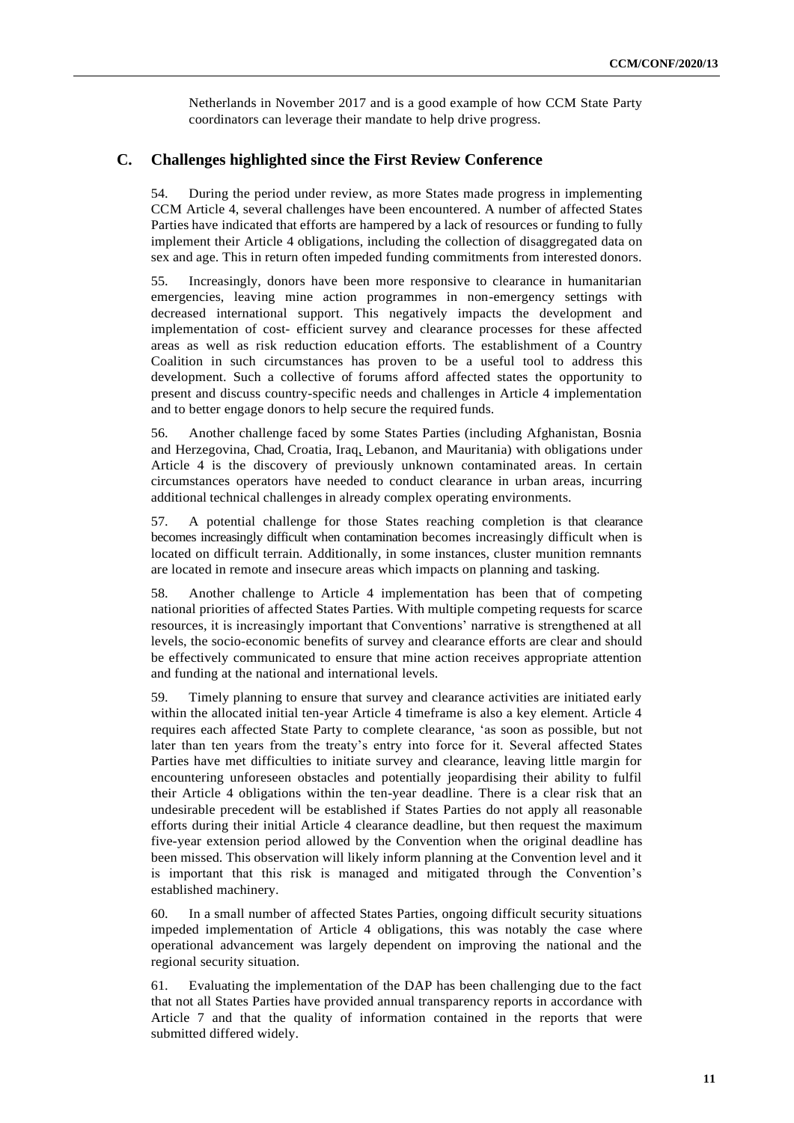Netherlands in November 2017 and is a good example of how CCM State Party coordinators can leverage their mandate to help drive progress.

## **C. Challenges highlighted since the First Review Conference**

54. During the period under review, as more States made progress in implementing CCM Article 4, several challenges have been encountered. A number of affected States Parties have indicated that efforts are hampered by a lack of resources or funding to fully implement their Article 4 obligations, including the collection of disaggregated data on sex and age. This in return often impeded funding commitments from interested donors.

55. Increasingly, donors have been more responsive to clearance in humanitarian emergencies, leaving mine action programmes in non-emergency settings with decreased international support. This negatively impacts the development and implementation of cost- efficient survey and clearance processes for these affected areas as well as risk reduction education efforts. The establishment of a Country Coalition in such circumstances has proven to be a useful tool to address this development. Such a collective of forums afford affected states the opportunity to present and discuss country-specific needs and challenges in Article 4 implementation and to better engage donors to help secure the required funds.

56. Another challenge faced by some States Parties (including Afghanistan, Bosnia and Herzegovina, Chad, Croatia, Iraq, Lebanon, and Mauritania) with obligations under Article 4 is the discovery of previously unknown contaminated areas. In certain circumstances operators have needed to conduct clearance in urban areas, incurring additional technical challenges in already complex operating environments.

57. A potential challenge for those States reaching completion is that clearance becomes increasingly difficult when contamination becomes increasingly difficult when is located on difficult terrain. Additionally, in some instances, cluster munition remnants are located in remote and insecure areas which impacts on planning and tasking.

58. Another challenge to Article 4 implementation has been that of competing national priorities of affected States Parties. With multiple competing requests for scarce resources, it is increasingly important that Conventions' narrative is strengthened at all levels, the socio-economic benefits of survey and clearance efforts are clear and should be effectively communicated to ensure that mine action receives appropriate attention and funding at the national and international levels.

59. Timely planning to ensure that survey and clearance activities are initiated early within the allocated initial ten-year Article 4 timeframe is also a key element. Article 4 requires each affected State Party to complete clearance, 'as soon as possible, but not later than ten years from the treaty's entry into force for it. Several affected States Parties have met difficulties to initiate survey and clearance, leaving little margin for encountering unforeseen obstacles and potentially jeopardising their ability to fulfil their Article 4 obligations within the ten-year deadline. There is a clear risk that an undesirable precedent will be established if States Parties do not apply all reasonable efforts during their initial Article 4 clearance deadline, but then request the maximum five-year extension period allowed by the Convention when the original deadline has been missed. This observation will likely inform planning at the Convention level and it is important that this risk is managed and mitigated through the Convention's established machinery.

60. In a small number of affected States Parties, ongoing difficult security situations impeded implementation of Article 4 obligations, this was notably the case where operational advancement was largely dependent on improving the national and the regional security situation.

61. Evaluating the implementation of the DAP has been challenging due to the fact that not all States Parties have provided annual transparency reports in accordance with Article 7 and that the quality of information contained in the reports that were submitted differed widely.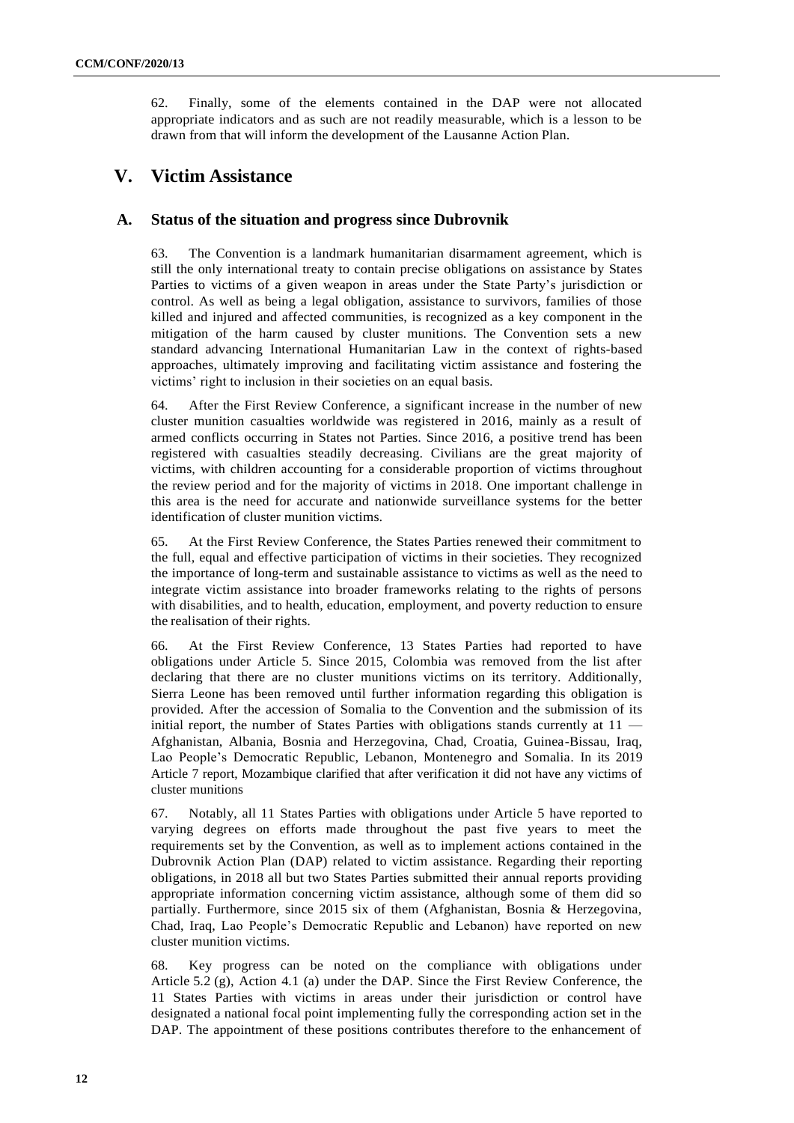62. Finally, some of the elements contained in the DAP were not allocated appropriate indicators and as such are not readily measurable, which is a lesson to be drawn from that will inform the development of the Lausanne Action Plan.

# **V. Victim Assistance**

## **A. Status of the situation and progress since Dubrovnik**

63. The Convention is a landmark humanitarian disarmament agreement, which is still the only international treaty to contain precise obligations on assistance by States Parties to victims of a given weapon in areas under the State Party's jurisdiction or control. As well as being a legal obligation, assistance to survivors, families of those killed and injured and affected communities, is recognized as a key component in the mitigation of the harm caused by cluster munitions. The Convention sets a new standard advancing International Humanitarian Law in the context of rights-based approaches, ultimately improving and facilitating victim assistance and fostering the victims' right to inclusion in their societies on an equal basis.

64. After the First Review Conference, a significant increase in the number of new cluster munition casualties worldwide was registered in 2016, mainly as a result of armed conflicts occurring in States not Parties. Since 2016, a positive trend has been registered with casualties steadily decreasing. Civilians are the great majority of victims, with children accounting for a considerable proportion of victims throughout the review period and for the majority of victims in 2018. One important challenge in this area is the need for accurate and nationwide surveillance systems for the better identification of cluster munition victims.

65. At the First Review Conference, the States Parties renewed their commitment to the full, equal and effective participation of victims in their societies. They recognized the importance of long-term and sustainable assistance to victims as well as the need to integrate victim assistance into broader frameworks relating to the rights of persons with disabilities, and to health, education, employment, and poverty reduction to ensure the realisation of their rights.

66. At the First Review Conference, 13 States Parties had reported to have obligations under Article 5. Since 2015, Colombia was removed from the list after declaring that there are no cluster munitions victims on its territory. Additionally, Sierra Leone has been removed until further information regarding this obligation is provided. After the accession of Somalia to the Convention and the submission of its initial report, the number of States Parties with obligations stands currently at 11 — Afghanistan, Albania, Bosnia and Herzegovina, Chad, Croatia, Guinea-Bissau, Iraq, Lao People's Democratic Republic, Lebanon, Montenegro and Somalia. In its 2019 Article 7 report, Mozambique clarified that after verification it did not have any victims of cluster munitions

67. Notably, all 11 States Parties with obligations under Article 5 have reported to varying degrees on efforts made throughout the past five years to meet the requirements set by the Convention, as well as to implement actions contained in the Dubrovnik Action Plan (DAP) related to victim assistance. Regarding their reporting obligations, in 2018 all but two States Parties submitted their annual reports providing appropriate information concerning victim assistance, although some of them did so partially. Furthermore, since 2015 six of them (Afghanistan, Bosnia & Herzegovina, Chad, Iraq, Lao People's Democratic Republic and Lebanon) have reported on new cluster munition victims.

68. Key progress can be noted on the compliance with obligations under Article 5.2 (g), Action 4.1 (a) under the DAP. Since the First Review Conference, the 11 States Parties with victims in areas under their jurisdiction or control have designated a national focal point implementing fully the corresponding action set in the DAP. The appointment of these positions contributes therefore to the enhancement of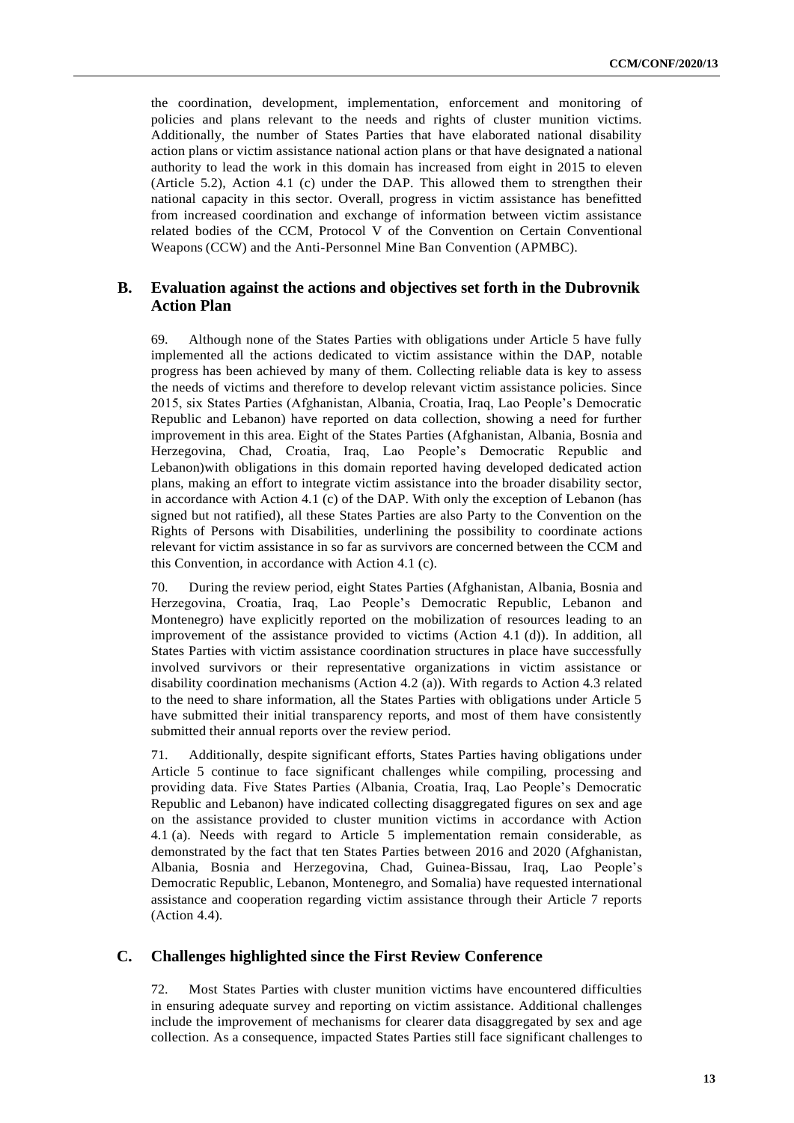the coordination, development, implementation, enforcement and monitoring of policies and plans relevant to the needs and rights of cluster munition victims. Additionally, the number of States Parties that have elaborated national disability action plans or victim assistance national action plans or that have designated a national authority to lead the work in this domain has increased from eight in 2015 to eleven (Article 5.2), Action 4.1 (c) under the DAP. This allowed them to strengthen their national capacity in this sector. Overall, progress in victim assistance has benefitted from increased coordination and exchange of information between victim assistance related bodies of the CCM, Protocol V of the Convention on Certain Conventional Weapons (CCW) and the Anti-Personnel Mine Ban Convention (APMBC).

## **B. Evaluation against the actions and objectives set forth in the Dubrovnik Action Plan**

69. Although none of the States Parties with obligations under Article 5 have fully implemented all the actions dedicated to victim assistance within the DAP, notable progress has been achieved by many of them. Collecting reliable data is key to assess the needs of victims and therefore to develop relevant victim assistance policies. Since 2015, six States Parties (Afghanistan, Albania, Croatia, Iraq, Lao People's Democratic Republic and Lebanon) have reported on data collection, showing a need for further improvement in this area. Eight of the States Parties (Afghanistan, Albania, Bosnia and Herzegovina, Chad, Croatia, Iraq, Lao People's Democratic Republic and Lebanon)with obligations in this domain reported having developed dedicated action plans, making an effort to integrate victim assistance into the broader disability sector, in accordance with Action 4.1 (c) of the DAP. With only the exception of Lebanon (has signed but not ratified), all these States Parties are also Party to the Convention on the Rights of Persons with Disabilities, underlining the possibility to coordinate actions relevant for victim assistance in so far as survivors are concerned between the CCM and this Convention, in accordance with Action 4.1 (c).

70. During the review period, eight States Parties (Afghanistan, Albania, Bosnia and Herzegovina, Croatia, Iraq, Lao People's Democratic Republic, Lebanon and Montenegro) have explicitly reported on the mobilization of resources leading to an improvement of the assistance provided to victims (Action 4.1 (d)). In addition, all States Parties with victim assistance coordination structures in place have successfully involved survivors or their representative organizations in victim assistance or disability coordination mechanisms (Action 4.2 (a)). With regards to Action 4.3 related to the need to share information, all the States Parties with obligations under Article 5 have submitted their initial transparency reports, and most of them have consistently submitted their annual reports over the review period.

71. Additionally, despite significant efforts, States Parties having obligations under Article 5 continue to face significant challenges while compiling, processing and providing data. Five States Parties (Albania, Croatia, Iraq, Lao People's Democratic Republic and Lebanon) have indicated collecting disaggregated figures on sex and age on the assistance provided to cluster munition victims in accordance with Action 4.1 (a). Needs with regard to Article 5 implementation remain considerable, as demonstrated by the fact that ten States Parties between 2016 and 2020 (Afghanistan, Albania, Bosnia and Herzegovina, Chad, Guinea-Bissau, Iraq, Lao People's Democratic Republic, Lebanon, Montenegro, and Somalia) have requested international assistance and cooperation regarding victim assistance through their Article 7 reports (Action 4.4).

## **C. Challenges highlighted since the First Review Conference**

72. Most States Parties with cluster munition victims have encountered difficulties in ensuring adequate survey and reporting on victim assistance. Additional challenges include the improvement of mechanisms for clearer data disaggregated by sex and age collection. As a consequence, impacted States Parties still face significant challenges to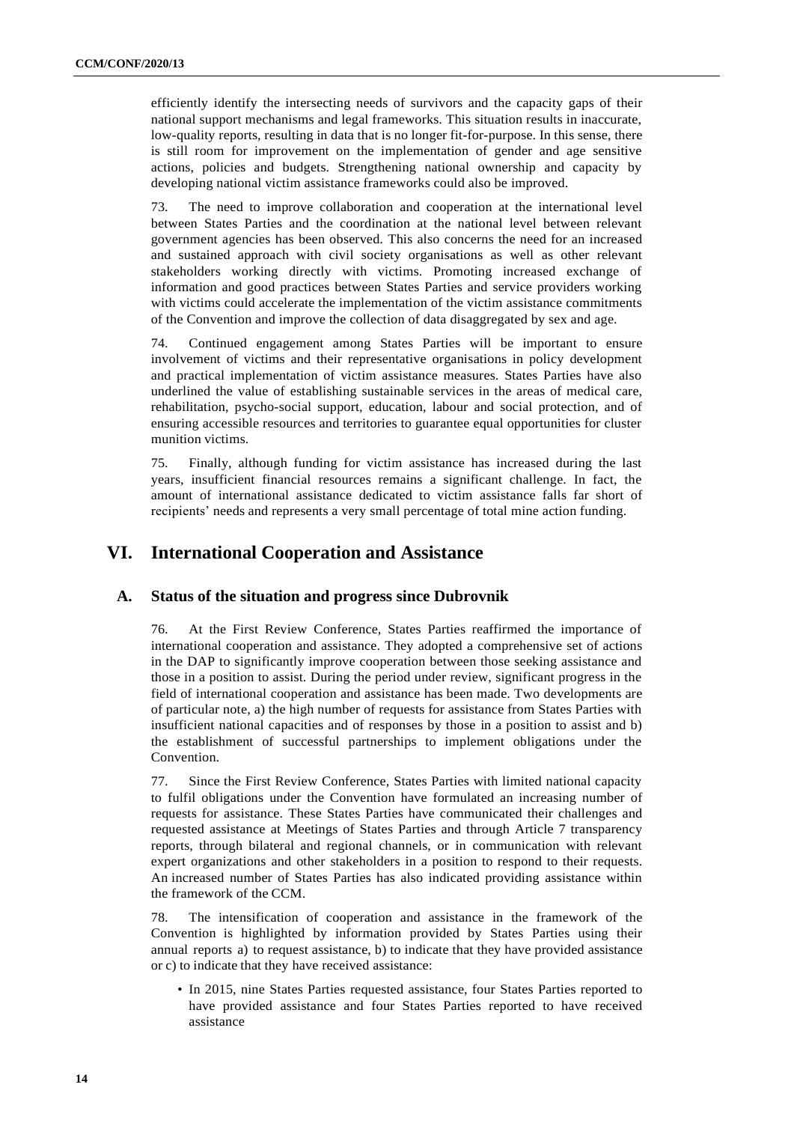efficiently identify the intersecting needs of survivors and the capacity gaps of their national support mechanisms and legal frameworks. This situation results in inaccurate, low-quality reports, resulting in data that is no longer fit-for-purpose. In this sense, there is still room for improvement on the implementation of gender and age sensitive actions, policies and budgets. Strengthening national ownership and capacity by developing national victim assistance frameworks could also be improved.

73. The need to improve collaboration and cooperation at the international level between States Parties and the coordination at the national level between relevant government agencies has been observed. This also concerns the need for an increased and sustained approach with civil society organisations as well as other relevant stakeholders working directly with victims. Promoting increased exchange of information and good practices between States Parties and service providers working with victims could accelerate the implementation of the victim assistance commitments of the Convention and improve the collection of data disaggregated by sex and age.

74. Continued engagement among States Parties will be important to ensure involvement of victims and their representative organisations in policy development and practical implementation of victim assistance measures. States Parties have also underlined the value of establishing sustainable services in the areas of medical care, rehabilitation, psycho-social support, education, labour and social protection, and of ensuring accessible resources and territories to guarantee equal opportunities for cluster munition victims.

75. Finally, although funding for victim assistance has increased during the last years, insufficient financial resources remains a significant challenge. In fact, the amount of international assistance dedicated to victim assistance falls far short of recipients' needs and represents a very small percentage of total mine action funding.

# **VI. International Cooperation and Assistance**

## **A. Status of the situation and progress since Dubrovnik**

76. At the First Review Conference, States Parties reaffirmed the importance of international cooperation and assistance. They adopted a comprehensive set of actions in the DAP to significantly improve cooperation between those seeking assistance and those in a position to assist. During the period under review, significant progress in the field of international cooperation and assistance has been made. Two developments are of particular note, a) the high number of requests for assistance from States Parties with insufficient national capacities and of responses by those in a position to assist and b) the establishment of successful partnerships to implement obligations under the Convention.

77. Since the First Review Conference, States Parties with limited national capacity to fulfil obligations under the Convention have formulated an increasing number of requests for assistance. These States Parties have communicated their challenges and requested assistance at Meetings of States Parties and through Article 7 transparency reports, through bilateral and regional channels, or in communication with relevant expert organizations and other stakeholders in a position to respond to their requests. An increased number of States Parties has also indicated providing assistance within the framework of the CCM.

78. The intensification of cooperation and assistance in the framework of the Convention is highlighted by information provided by States Parties using their annual reports a) to request assistance, b) to indicate that they have provided assistance or c) to indicate that they have received assistance:

• In 2015, nine States Parties requested assistance, four States Parties reported to have provided assistance and four States Parties reported to have received assistance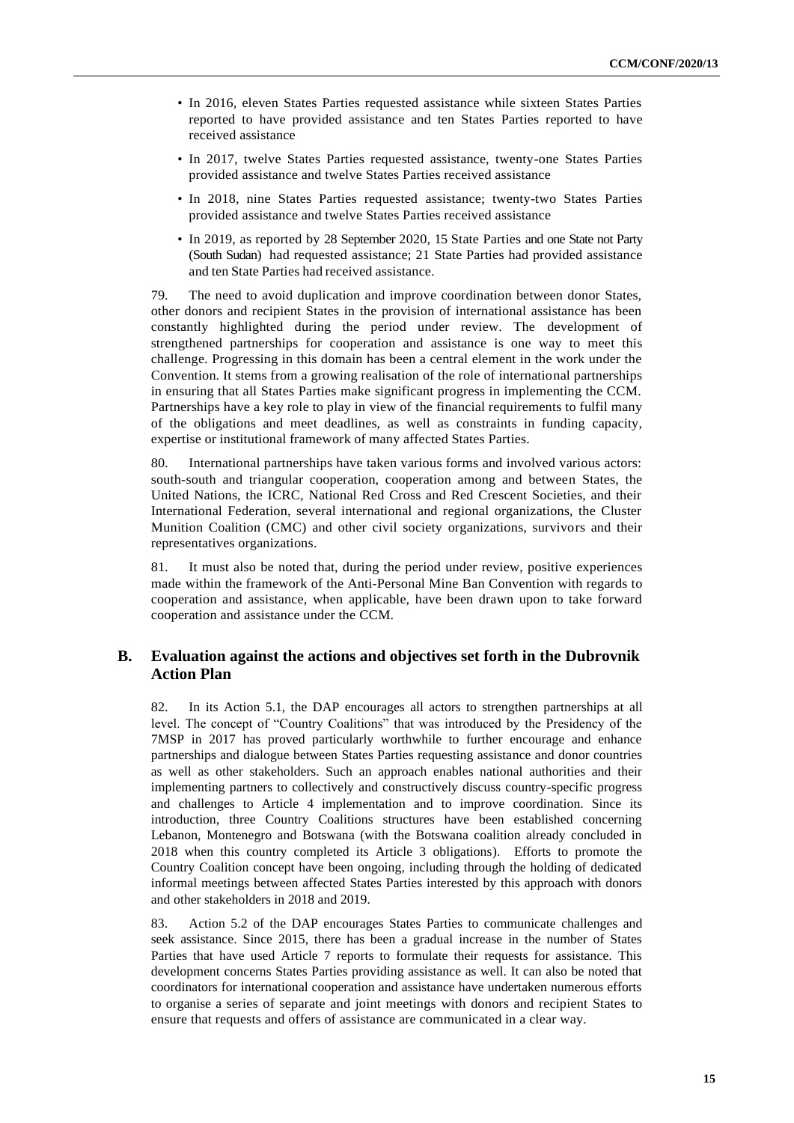- In 2016, eleven States Parties requested assistance while sixteen States Parties reported to have provided assistance and ten States Parties reported to have received assistance
- In 2017, twelve States Parties requested assistance, twenty-one States Parties provided assistance and twelve States Parties received assistance
- In 2018, nine States Parties requested assistance; twenty-two States Parties provided assistance and twelve States Parties received assistance
- In 2019, as reported by 28 September 2020, 15 State Parties and one State not Party (South Sudan) had requested assistance; 21 State Parties had provided assistance and ten State Parties had received assistance.

79. The need to avoid duplication and improve coordination between donor States, other donors and recipient States in the provision of international assistance has been constantly highlighted during the period under review. The development of strengthened partnerships for cooperation and assistance is one way to meet this challenge. Progressing in this domain has been a central element in the work under the Convention. It stems from a growing realisation of the role of international partnerships in ensuring that all States Parties make significant progress in implementing the CCM. Partnerships have a key role to play in view of the financial requirements to fulfil many of the obligations and meet deadlines, as well as constraints in funding capacity, expertise or institutional framework of many affected States Parties.

80. International partnerships have taken various forms and involved various actors: south-south and triangular cooperation, cooperation among and between States, the United Nations, the ICRC, National Red Cross and Red Crescent Societies, and their International Federation, several international and regional organizations, the Cluster Munition Coalition (CMC) and other civil society organizations, survivors and their representatives organizations.

81. It must also be noted that, during the period under review, positive experiences made within the framework of the Anti-Personal Mine Ban Convention with regards to cooperation and assistance, when applicable, have been drawn upon to take forward cooperation and assistance under the CCM.

## **B. Evaluation against the actions and objectives set forth in the Dubrovnik Action Plan**

82. In its Action 5.1, the DAP encourages all actors to strengthen partnerships at all level. The concept of "Country Coalitions" that was introduced by the Presidency of the 7MSP in 2017 has proved particularly worthwhile to further encourage and enhance partnerships and dialogue between States Parties requesting assistance and donor countries as well as other stakeholders. Such an approach enables national authorities and their implementing partners to collectively and constructively discuss country-specific progress and challenges to Article 4 implementation and to improve coordination. Since its introduction, three Country Coalitions structures have been established concerning Lebanon, Montenegro and Botswana (with the Botswana coalition already concluded in 2018 when this country completed its Article 3 obligations). Efforts to promote the Country Coalition concept have been ongoing, including through the holding of dedicated informal meetings between affected States Parties interested by this approach with donors and other stakeholders in 2018 and 2019.

83. Action 5.2 of the DAP encourages States Parties to communicate challenges and seek assistance. Since 2015, there has been a gradual increase in the number of States Parties that have used Article 7 reports to formulate their requests for assistance. This development concerns States Parties providing assistance as well. It can also be noted that coordinators for international cooperation and assistance have undertaken numerous efforts to organise a series of separate and joint meetings with donors and recipient States to ensure that requests and offers of assistance are communicated in a clear way.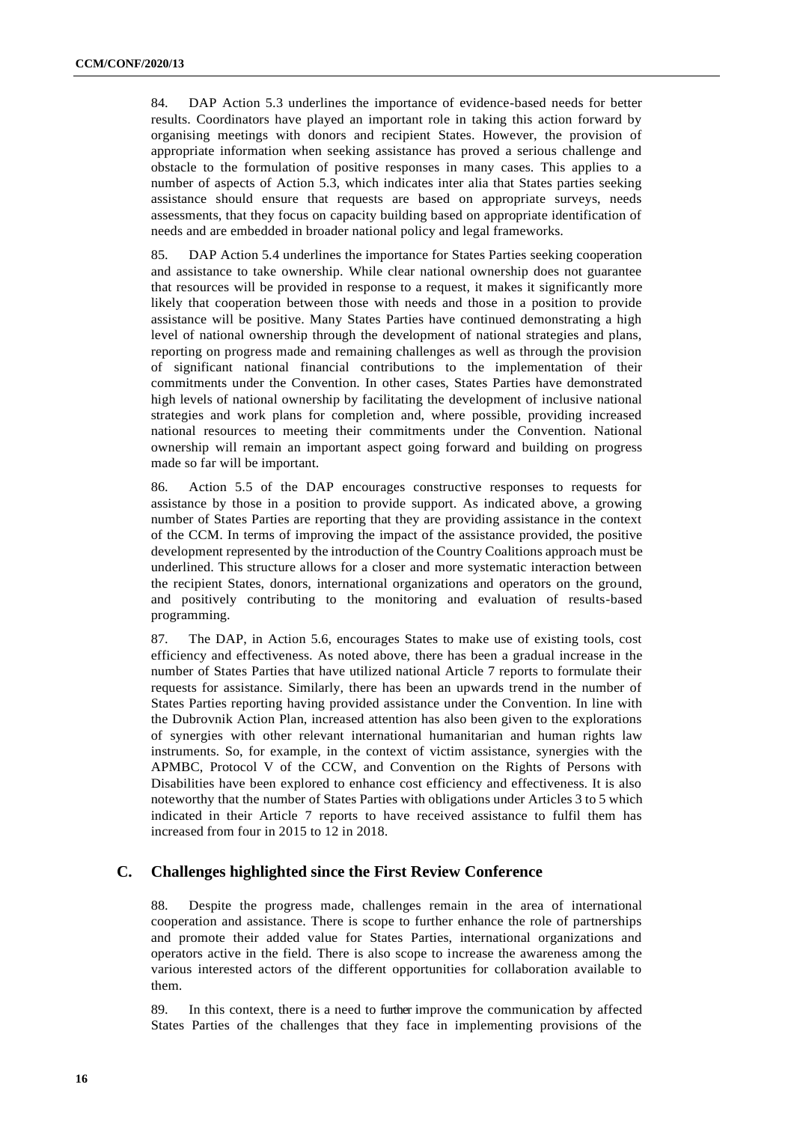84. DAP Action 5.3 underlines the importance of evidence-based needs for better results. Coordinators have played an important role in taking this action forward by organising meetings with donors and recipient States. However, the provision of appropriate information when seeking assistance has proved a serious challenge and obstacle to the formulation of positive responses in many cases. This applies to a number of aspects of Action 5.3, which indicates inter alia that States parties seeking assistance should ensure that requests are based on appropriate surveys, needs assessments, that they focus on capacity building based on appropriate identification of needs and are embedded in broader national policy and legal frameworks.

85. DAP Action 5.4 underlines the importance for States Parties seeking cooperation and assistance to take ownership. While clear national ownership does not guarantee that resources will be provided in response to a request, it makes it significantly more likely that cooperation between those with needs and those in a position to provide assistance will be positive. Many States Parties have continued demonstrating a high level of national ownership through the development of national strategies and plans, reporting on progress made and remaining challenges as well as through the provision of significant national financial contributions to the implementation of their commitments under the Convention. In other cases, States Parties have demonstrated high levels of national ownership by facilitating the development of inclusive national strategies and work plans for completion and, where possible, providing increased national resources to meeting their commitments under the Convention. National ownership will remain an important aspect going forward and building on progress made so far will be important.

86. Action 5.5 of the DAP encourages constructive responses to requests for assistance by those in a position to provide support. As indicated above, a growing number of States Parties are reporting that they are providing assistance in the context of the CCM. In terms of improving the impact of the assistance provided, the positive development represented by the introduction of the Country Coalitions approach must be underlined. This structure allows for a closer and more systematic interaction between the recipient States, donors, international organizations and operators on the ground, and positively contributing to the monitoring and evaluation of results-based programming.

87. The DAP, in Action 5.6, encourages States to make use of existing tools, cost efficiency and effectiveness. As noted above, there has been a gradual increase in the number of States Parties that have utilized national Article 7 reports to formulate their requests for assistance. Similarly, there has been an upwards trend in the number of States Parties reporting having provided assistance under the Convention. In line with the Dubrovnik Action Plan, increased attention has also been given to the explorations of synergies with other relevant international humanitarian and human rights law instruments. So, for example, in the context of victim assistance, synergies with the APMBC, Protocol V of the CCW, and Convention on the Rights of Persons with Disabilities have been explored to enhance cost efficiency and effectiveness. It is also noteworthy that the number of States Parties with obligations under Articles 3 to 5 which indicated in their Article 7 reports to have received assistance to fulfil them has increased from four in 2015 to 12 in 2018.

## **C. Challenges highlighted since the First Review Conference**

88. Despite the progress made, challenges remain in the area of international cooperation and assistance. There is scope to further enhance the role of partnerships and promote their added value for States Parties, international organizations and operators active in the field. There is also scope to increase the awareness among the various interested actors of the different opportunities for collaboration available to them.

89. In this context, there is a need to further improve the communication by affected States Parties of the challenges that they face in implementing provisions of the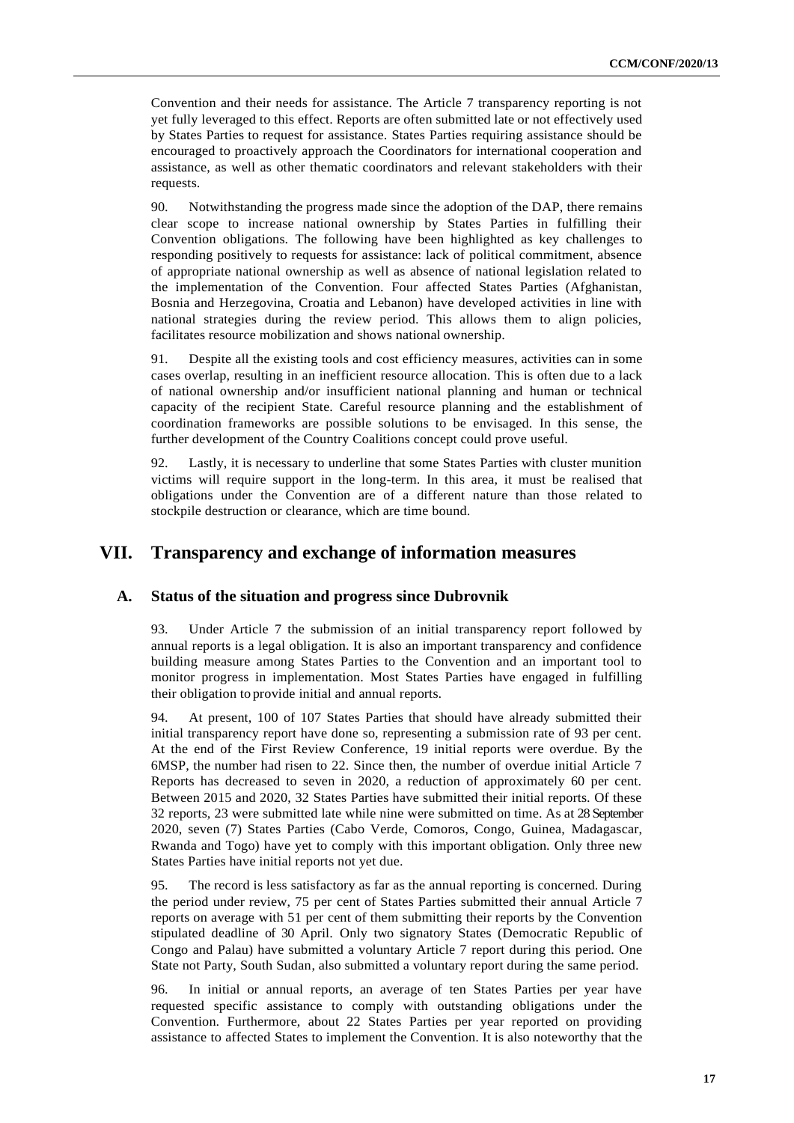Convention and their needs for assistance. The Article 7 transparency reporting is not yet fully leveraged to this effect. Reports are often submitted late or not effectively used by States Parties to request for assistance. States Parties requiring assistance should be encouraged to proactively approach the Coordinators for international cooperation and assistance, as well as other thematic coordinators and relevant stakeholders with their requests.

90. Notwithstanding the progress made since the adoption of the DAP, there remains clear scope to increase national ownership by States Parties in fulfilling their Convention obligations. The following have been highlighted as key challenges to responding positively to requests for assistance: lack of political commitment, absence of appropriate national ownership as well as absence of national legislation related to the implementation of the Convention. Four affected States Parties (Afghanistan, Bosnia and Herzegovina, Croatia and Lebanon) have developed activities in line with national strategies during the review period. This allows them to align policies, facilitates resource mobilization and shows national ownership.

91. Despite all the existing tools and cost efficiency measures, activities can in some cases overlap, resulting in an inefficient resource allocation. This is often due to a lack of national ownership and/or insufficient national planning and human or technical capacity of the recipient State. Careful resource planning and the establishment of coordination frameworks are possible solutions to be envisaged. In this sense, the further development of the Country Coalitions concept could prove useful.

92. Lastly, it is necessary to underline that some States Parties with cluster munition victims will require support in the long-term. In this area, it must be realised that obligations under the Convention are of a different nature than those related to stockpile destruction or clearance, which are time bound.

## **VII. Transparency and exchange of information measures**

#### **A. Status of the situation and progress since Dubrovnik**

93. Under Article 7 the submission of an initial transparency report followed by annual reports is a legal obligation. It is also an important transparency and confidence building measure among States Parties to the Convention and an important tool to monitor progress in implementation. Most States Parties have engaged in fulfilling their obligation to provide initial and annual reports.

94. At present, 100 of 107 States Parties that should have already submitted their initial transparency report have done so, representing a submission rate of 93 per cent. At the end of the First Review Conference, 19 initial reports were overdue. By the 6MSP, the number had risen to 22. Since then, the number of overdue initial Article 7 Reports has decreased to seven in 2020, a reduction of approximately 60 per cent. Between 2015 and 2020, 32 States Parties have submitted their initial reports. Of these 32 reports, 23 were submitted late while nine were submitted on time. As at 28 September 2020, seven (7) States Parties (Cabo Verde, Comoros, Congo, Guinea, Madagascar, Rwanda and Togo) have yet to comply with this important obligation. Only three new States Parties have initial reports not yet due.

95. The record is less satisfactory as far as the annual reporting is concerned. During the period under review, 75 per cent of States Parties submitted their annual Article 7 reports on average with 51 per cent of them submitting their reports by the Convention stipulated deadline of 30 April. Only two signatory States (Democratic Republic of Congo and Palau) have submitted a voluntary Article 7 report during this period. One State not Party, South Sudan, also submitted a voluntary report during the same period.

96. In initial or annual reports, an average of ten States Parties per year have requested specific assistance to comply with outstanding obligations under the Convention. Furthermore, about 22 States Parties per year reported on providing assistance to affected States to implement the Convention. It is also noteworthy that the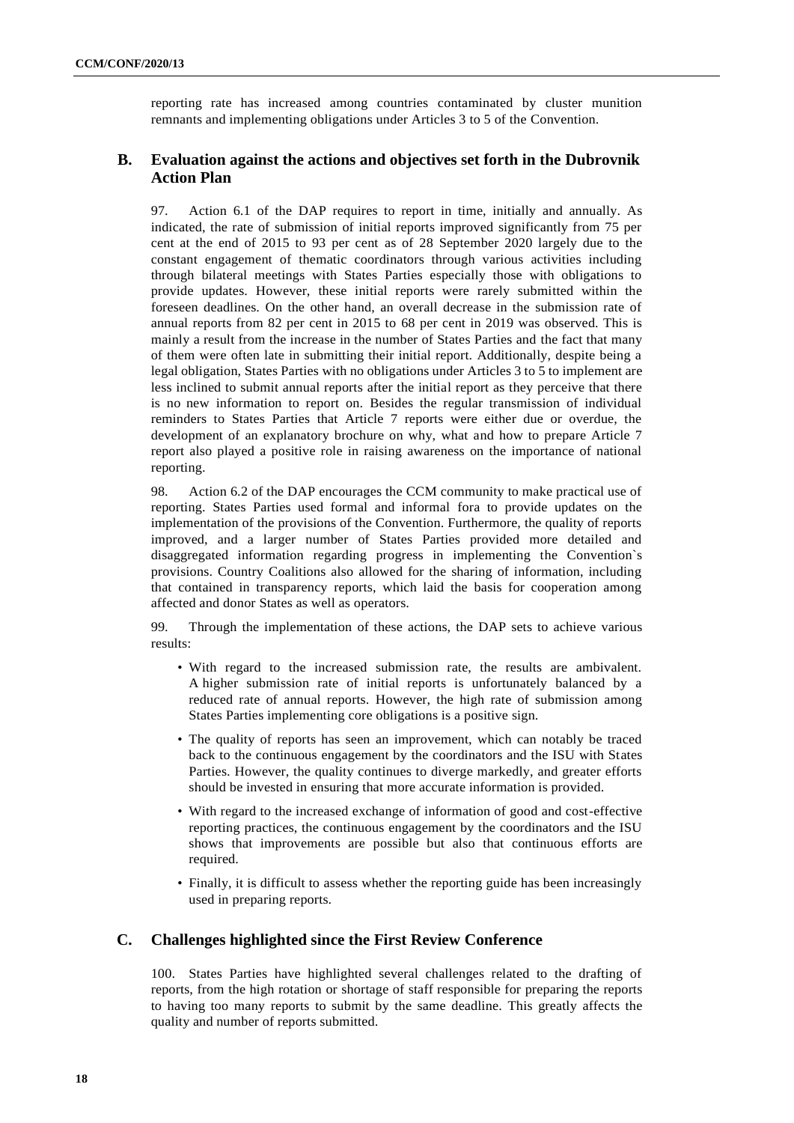reporting rate has increased among countries contaminated by cluster munition remnants and implementing obligations under Articles 3 to 5 of the Convention.

## **B. Evaluation against the actions and objectives set forth in the Dubrovnik Action Plan**

97. Action 6.1 of the DAP requires to report in time, initially and annually. As indicated, the rate of submission of initial reports improved significantly from 75 per cent at the end of 2015 to 93 per cent as of 28 September 2020 largely due to the constant engagement of thematic coordinators through various activities including through bilateral meetings with States Parties especially those with obligations to provide updates. However, these initial reports were rarely submitted within the foreseen deadlines. On the other hand, an overall decrease in the submission rate of annual reports from 82 per cent in 2015 to 68 per cent in 2019 was observed. This is mainly a result from the increase in the number of States Parties and the fact that many of them were often late in submitting their initial report. Additionally, despite being a legal obligation, States Parties with no obligations under Articles 3 to 5 to implement are less inclined to submit annual reports after the initial report as they perceive that there is no new information to report on. Besides the regular transmission of individual reminders to States Parties that Article 7 reports were either due or overdue, the development of an explanatory brochure on why, what and how to prepare Article 7 report also played a positive role in raising awareness on the importance of national reporting.

98. Action 6.2 of the DAP encourages the CCM community to make practical use of reporting. States Parties used formal and informal fora to provide updates on the implementation of the provisions of the Convention. Furthermore, the quality of reports improved, and a larger number of States Parties provided more detailed and disaggregated information regarding progress in implementing the Convention`s provisions. Country Coalitions also allowed for the sharing of information, including that contained in transparency reports, which laid the basis for cooperation among affected and donor States as well as operators.

99. Through the implementation of these actions, the DAP sets to achieve various results:

- With regard to the increased submission rate, the results are ambivalent. A higher submission rate of initial reports is unfortunately balanced by a reduced rate of annual reports. However, the high rate of submission among States Parties implementing core obligations is a positive sign.
- The quality of reports has seen an improvement, which can notably be traced back to the continuous engagement by the coordinators and the ISU with States Parties. However, the quality continues to diverge markedly, and greater efforts should be invested in ensuring that more accurate information is provided.
- With regard to the increased exchange of information of good and cost-effective reporting practices, the continuous engagement by the coordinators and the ISU shows that improvements are possible but also that continuous efforts are required.
- Finally, it is difficult to assess whether the reporting guide has been increasingly used in preparing reports.

## **C. Challenges highlighted since the First Review Conference**

100. States Parties have highlighted several challenges related to the drafting of reports, from the high rotation or shortage of staff responsible for preparing the reports to having too many reports to submit by the same deadline. This greatly affects the quality and number of reports submitted.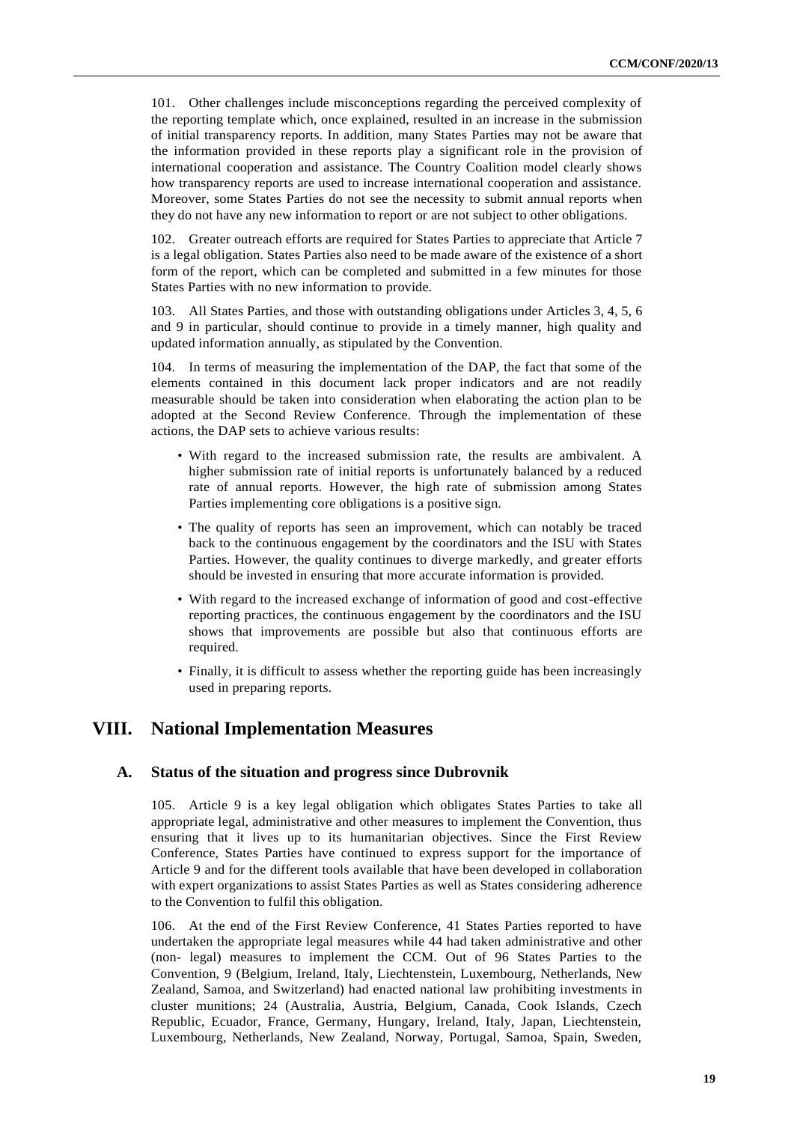101. Other challenges include misconceptions regarding the perceived complexity of the reporting template which, once explained, resulted in an increase in the submission of initial transparency reports. In addition, many States Parties may not be aware that the information provided in these reports play a significant role in the provision of international cooperation and assistance. The Country Coalition model clearly shows how transparency reports are used to increase international cooperation and assistance. Moreover, some States Parties do not see the necessity to submit annual reports when they do not have any new information to report or are not subject to other obligations.

102. Greater outreach efforts are required for States Parties to appreciate that Article 7 is a legal obligation. States Parties also need to be made aware of the existence of a short form of the report, which can be completed and submitted in a few minutes for those States Parties with no new information to provide.

103. All States Parties, and those with outstanding obligations under Articles 3, 4, 5, 6 and 9 in particular, should continue to provide in a timely manner, high quality and updated information annually, as stipulated by the Convention.

104. In terms of measuring the implementation of the DAP, the fact that some of the elements contained in this document lack proper indicators and are not readily measurable should be taken into consideration when elaborating the action plan to be adopted at the Second Review Conference. Through the implementation of these actions, the DAP sets to achieve various results:

- With regard to the increased submission rate, the results are ambivalent. A higher submission rate of initial reports is unfortunately balanced by a reduced rate of annual reports. However, the high rate of submission among States Parties implementing core obligations is a positive sign.
- The quality of reports has seen an improvement, which can notably be traced back to the continuous engagement by the coordinators and the ISU with States Parties. However, the quality continues to diverge markedly, and greater efforts should be invested in ensuring that more accurate information is provided.
- With regard to the increased exchange of information of good and cost-effective reporting practices, the continuous engagement by the coordinators and the ISU shows that improvements are possible but also that continuous efforts are required.
- Finally, it is difficult to assess whether the reporting guide has been increasingly used in preparing reports.

## **VIII. National Implementation Measures**

#### **A. Status of the situation and progress since Dubrovnik**

105. Article 9 is a key legal obligation which obligates States Parties to take all appropriate legal, administrative and other measures to implement the Convention, thus ensuring that it lives up to its humanitarian objectives. Since the First Review Conference, States Parties have continued to express support for the importance of Article 9 and for the different tools available that have been developed in collaboration with expert organizations to assist States Parties as well as States considering adherence to the Convention to fulfil this obligation.

106. At the end of the First Review Conference, 41 States Parties reported to have undertaken the appropriate legal measures while 44 had taken administrative and other (non- legal) measures to implement the CCM. Out of 96 States Parties to the Convention, 9 (Belgium, Ireland, Italy, Liechtenstein, Luxembourg, Netherlands, New Zealand, Samoa, and Switzerland) had enacted national law prohibiting investments in cluster munitions; 24 (Australia, Austria, Belgium, Canada, Cook Islands, Czech Republic, Ecuador, France, Germany, Hungary, Ireland, Italy, Japan, Liechtenstein, Luxembourg, Netherlands, New Zealand, Norway, Portugal, Samoa, Spain, Sweden,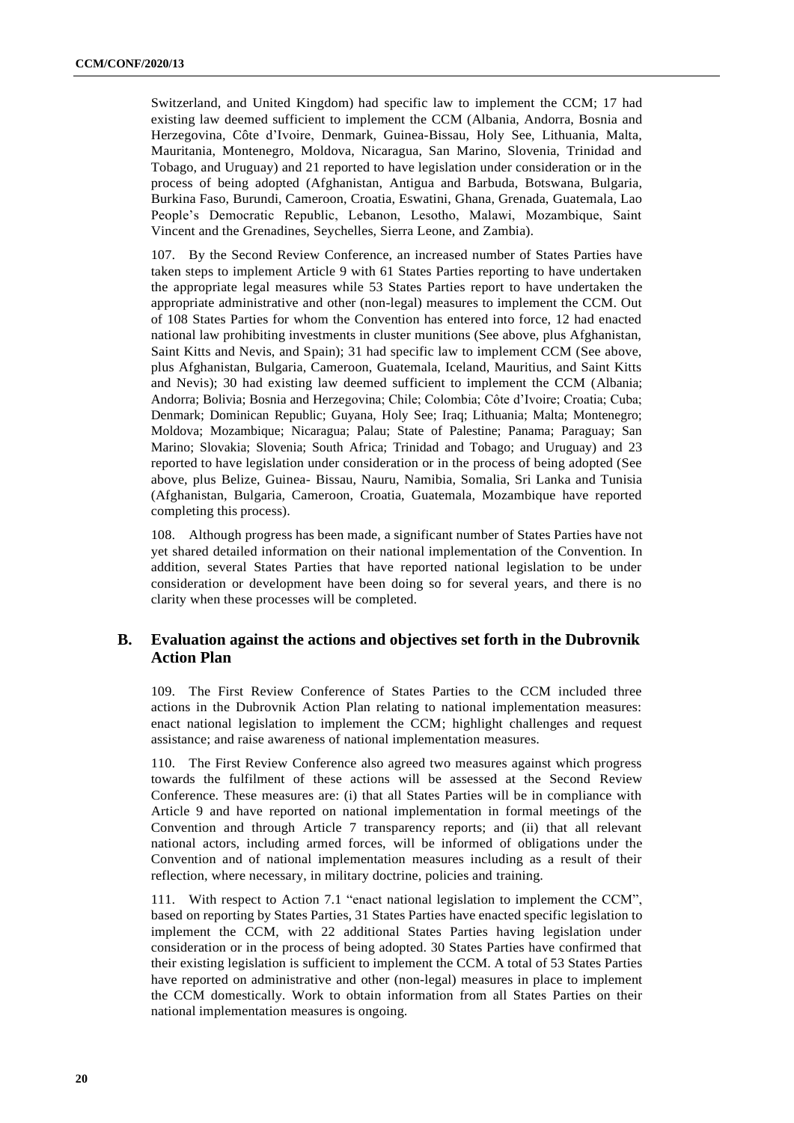Switzerland, and United Kingdom) had specific law to implement the CCM; 17 had existing law deemed sufficient to implement the CCM (Albania, Andorra, Bosnia and Herzegovina, Côte d'Ivoire, Denmark, Guinea-Bissau, Holy See, Lithuania, Malta, Mauritania, Montenegro, Moldova, Nicaragua, San Marino, Slovenia, Trinidad and Tobago, and Uruguay) and 21 reported to have legislation under consideration or in the process of being adopted (Afghanistan, Antigua and Barbuda, Botswana, Bulgaria, Burkina Faso, Burundi, Cameroon, Croatia, Eswatini, Ghana, Grenada, Guatemala, Lao People's Democratic Republic, Lebanon, Lesotho, Malawi, Mozambique, Saint Vincent and the Grenadines, Seychelles, Sierra Leone, and Zambia).

107. By the Second Review Conference, an increased number of States Parties have taken steps to implement Article 9 with 61 States Parties reporting to have undertaken the appropriate legal measures while 53 States Parties report to have undertaken the appropriate administrative and other (non-legal) measures to implement the CCM. Out of 108 States Parties for whom the Convention has entered into force, 12 had enacted national law prohibiting investments in cluster munitions (See above, plus Afghanistan, Saint Kitts and Nevis, and Spain); 31 had specific law to implement CCM (See above, plus Afghanistan, Bulgaria, Cameroon, Guatemala, Iceland, Mauritius, and Saint Kitts and Nevis); 30 had existing law deemed sufficient to implement the CCM (Albania; Andorra; Bolivia; Bosnia and Herzegovina; Chile; Colombia; Côte d'Ivoire; Croatia; Cuba; Denmark; Dominican Republic; Guyana, Holy See; Iraq; Lithuania; Malta; Montenegro; Moldova; Mozambique; Nicaragua; Palau; State of Palestine; Panama; Paraguay; San Marino; Slovakia; Slovenia; South Africa; Trinidad and Tobago; and Uruguay) and 23 reported to have legislation under consideration or in the process of being adopted (See above, plus Belize, Guinea- Bissau, Nauru, Namibia, Somalia, Sri Lanka and Tunisia (Afghanistan, Bulgaria, Cameroon, Croatia, Guatemala, Mozambique have reported completing this process).

108. Although progress has been made, a significant number of States Parties have not yet shared detailed information on their national implementation of the Convention. In addition, several States Parties that have reported national legislation to be under consideration or development have been doing so for several years, and there is no clarity when these processes will be completed.

## **B. Evaluation against the actions and objectives set forth in the Dubrovnik Action Plan**

109. The First Review Conference of States Parties to the CCM included three actions in the Dubrovnik Action Plan relating to national implementation measures: enact national legislation to implement the CCM; highlight challenges and request assistance; and raise awareness of national implementation measures.

110. The First Review Conference also agreed two measures against which progress towards the fulfilment of these actions will be assessed at the Second Review Conference. These measures are: (i) that all States Parties will be in compliance with Article 9 and have reported on national implementation in formal meetings of the Convention and through Article 7 transparency reports; and (ii) that all relevant national actors, including armed forces, will be informed of obligations under the Convention and of national implementation measures including as a result of their reflection, where necessary, in military doctrine, policies and training.

111. With respect to Action 7.1 "enact national legislation to implement the CCM", based on reporting by States Parties, 31 States Parties have enacted specific legislation to implement the CCM, with 22 additional States Parties having legislation under consideration or in the process of being adopted. 30 States Parties have confirmed that their existing legislation is sufficient to implement the CCM. A total of 53 States Parties have reported on administrative and other (non-legal) measures in place to implement the CCM domestically. Work to obtain information from all States Parties on their national implementation measures is ongoing.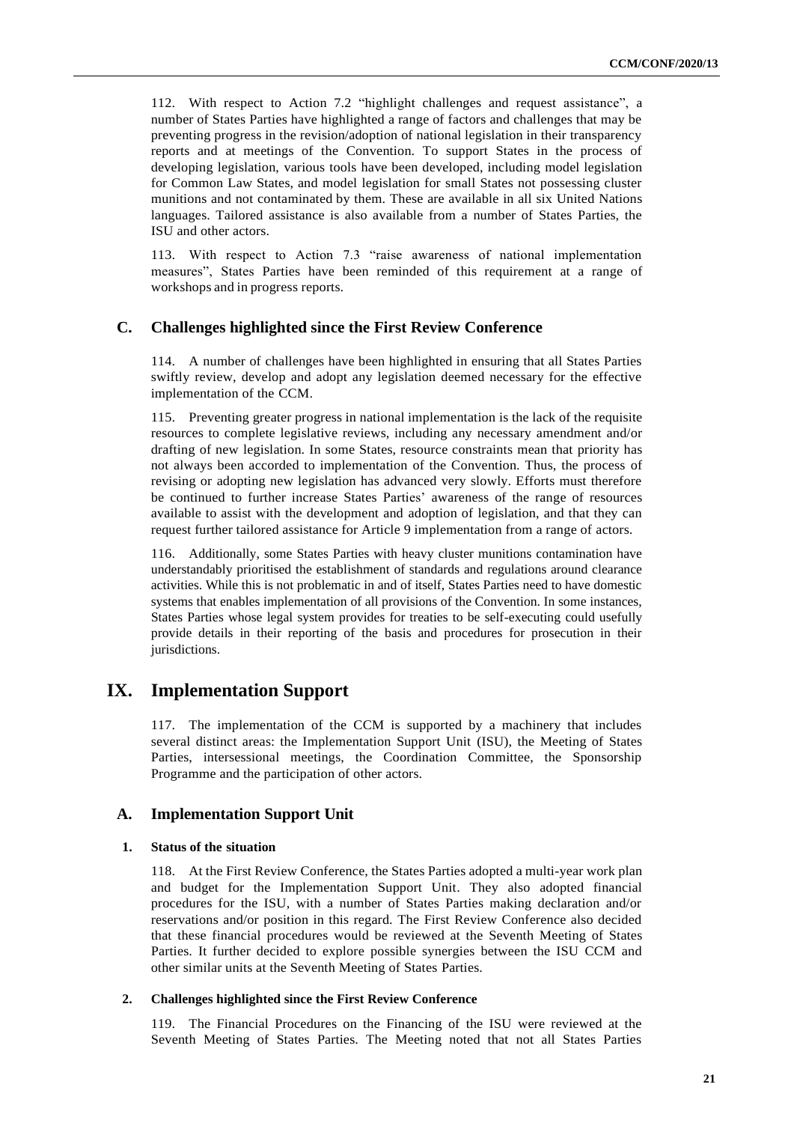112. With respect to Action 7.2 "highlight challenges and request assistance", a number of States Parties have highlighted a range of factors and challenges that may be preventing progress in the revision/adoption of national legislation in their transparency reports and at meetings of the Convention. To support States in the process of developing legislation, various tools have been developed, including model legislation for Common Law States, and model legislation for small States not possessing cluster munitions and not contaminated by them. These are available in all six United Nations languages. Tailored assistance is also available from a number of States Parties, the ISU and other actors.

113. With respect to Action 7.3 "raise awareness of national implementation measures", States Parties have been reminded of this requirement at a range of workshops and in progress reports.

#### **C. Challenges highlighted since the First Review Conference**

114. A number of challenges have been highlighted in ensuring that all States Parties swiftly review, develop and adopt any legislation deemed necessary for the effective implementation of the CCM.

115. Preventing greater progress in national implementation is the lack of the requisite resources to complete legislative reviews, including any necessary amendment and/or drafting of new legislation. In some States, resource constraints mean that priority has not always been accorded to implementation of the Convention. Thus, the process of revising or adopting new legislation has advanced very slowly. Efforts must therefore be continued to further increase States Parties' awareness of the range of resources available to assist with the development and adoption of legislation, and that they can request further tailored assistance for Article 9 implementation from a range of actors.

116. Additionally, some States Parties with heavy cluster munitions contamination have understandably prioritised the establishment of standards and regulations around clearance activities. While this is not problematic in and of itself, States Parties need to have domestic systems that enables implementation of all provisions of the Convention. In some instances, States Parties whose legal system provides for treaties to be self-executing could usefully provide details in their reporting of the basis and procedures for prosecution in their jurisdictions.

## **IX. Implementation Support**

117. The implementation of the CCM is supported by a machinery that includes several distinct areas: the Implementation Support Unit (ISU), the Meeting of States Parties, intersessional meetings, the Coordination Committee, the Sponsorship Programme and the participation of other actors.

#### **A. Implementation Support Unit**

#### **1. Status of the situation**

118. At the First Review Conference, the States Parties adopted a multi-year work plan and budget for the Implementation Support Unit. They also adopted financial procedures for the ISU, with a number of States Parties making declaration and/or reservations and/or position in this regard. The First Review Conference also decided that these financial procedures would be reviewed at the Seventh Meeting of States Parties. It further decided to explore possible synergies between the ISU CCM and other similar units at the Seventh Meeting of States Parties.

#### **2. Challenges highlighted since the First Review Conference**

119. The Financial Procedures on the Financing of the ISU were reviewed at the Seventh Meeting of States Parties. The Meeting noted that not all States Parties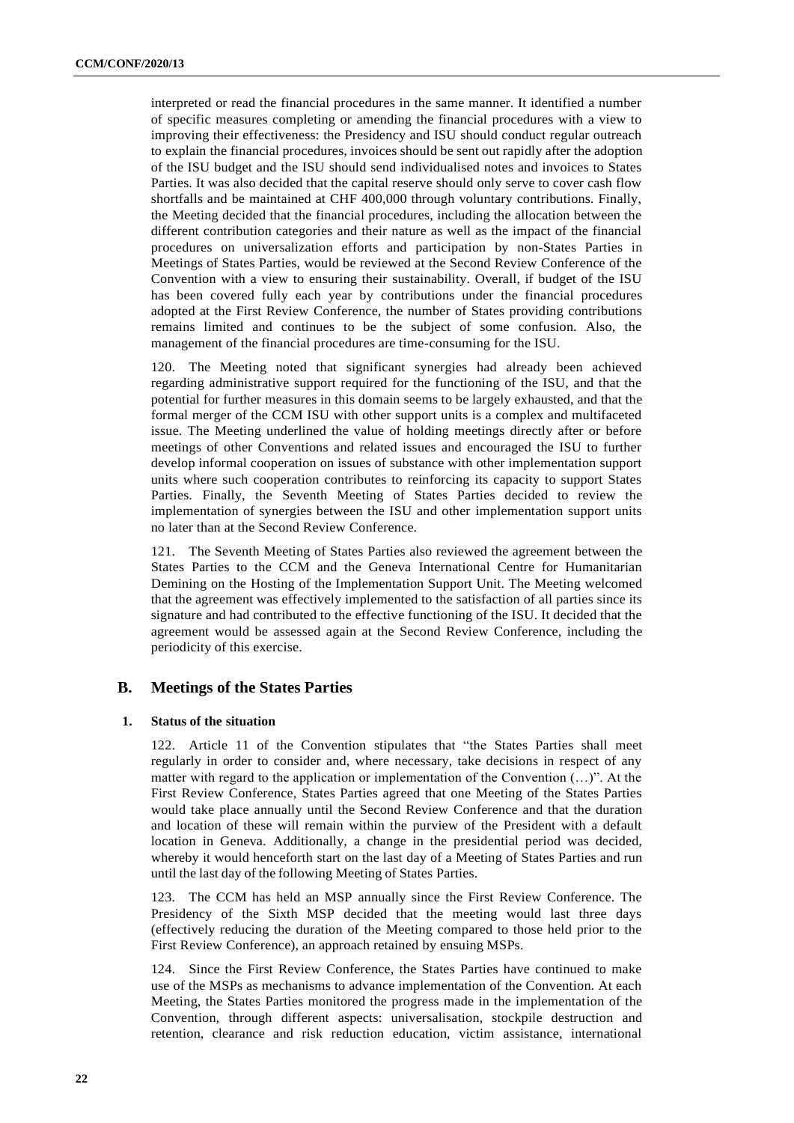interpreted or read the financial procedures in the same manner. It identified a number of specific measures completing or amending the financial procedures with a view to improving their effectiveness: the Presidency and ISU should conduct regular outreach to explain the financial procedures, invoices should be sent out rapidly after the adoption of the ISU budget and the ISU should send individualised notes and invoices to States Parties. It was also decided that the capital reserve should only serve to cover cash flow shortfalls and be maintained at CHF 400,000 through voluntary contributions. Finally, the Meeting decided that the financial procedures, including the allocation between the different contribution categories and their nature as well as the impact of the financial procedures on universalization efforts and participation by non-States Parties in Meetings of States Parties, would be reviewed at the Second Review Conference of the Convention with a view to ensuring their sustainability. Overall, if budget of the ISU has been covered fully each year by contributions under the financial procedures adopted at the First Review Conference, the number of States providing contributions remains limited and continues to be the subject of some confusion. Also, the management of the financial procedures are time-consuming for the ISU.

120. The Meeting noted that significant synergies had already been achieved regarding administrative support required for the functioning of the ISU, and that the potential for further measures in this domain seems to be largely exhausted, and that the formal merger of the CCM ISU with other support units is a complex and multifaceted issue. The Meeting underlined the value of holding meetings directly after or before meetings of other Conventions and related issues and encouraged the ISU to further develop informal cooperation on issues of substance with other implementation support units where such cooperation contributes to reinforcing its capacity to support States Parties. Finally, the Seventh Meeting of States Parties decided to review the implementation of synergies between the ISU and other implementation support units no later than at the Second Review Conference.

121. The Seventh Meeting of States Parties also reviewed the agreement between the States Parties to the CCM and the Geneva International Centre for Humanitarian Demining on the Hosting of the Implementation Support Unit. The Meeting welcomed that the agreement was effectively implemented to the satisfaction of all parties since its signature and had contributed to the effective functioning of the ISU. It decided that the agreement would be assessed again at the Second Review Conference, including the periodicity of this exercise.

#### **B. Meetings of the States Parties**

#### **1. Status of the situation**

122. Article 11 of the Convention stipulates that "the States Parties shall meet regularly in order to consider and, where necessary, take decisions in respect of any matter with regard to the application or implementation of the Convention (…)". At the First Review Conference, States Parties agreed that one Meeting of the States Parties would take place annually until the Second Review Conference and that the duration and location of these will remain within the purview of the President with a default location in Geneva. Additionally, a change in the presidential period was decided, whereby it would henceforth start on the last day of a Meeting of States Parties and run until the last day of the following Meeting of States Parties.

The CCM has held an MSP annually since the First Review Conference. The Presidency of the Sixth MSP decided that the meeting would last three days (effectively reducing the duration of the Meeting compared to those held prior to the First Review Conference), an approach retained by ensuing MSPs.

124. Since the First Review Conference, the States Parties have continued to make use of the MSPs as mechanisms to advance implementation of the Convention. At each Meeting, the States Parties monitored the progress made in the implementation of the Convention, through different aspects: universalisation, stockpile destruction and retention, clearance and risk reduction education, victim assistance, international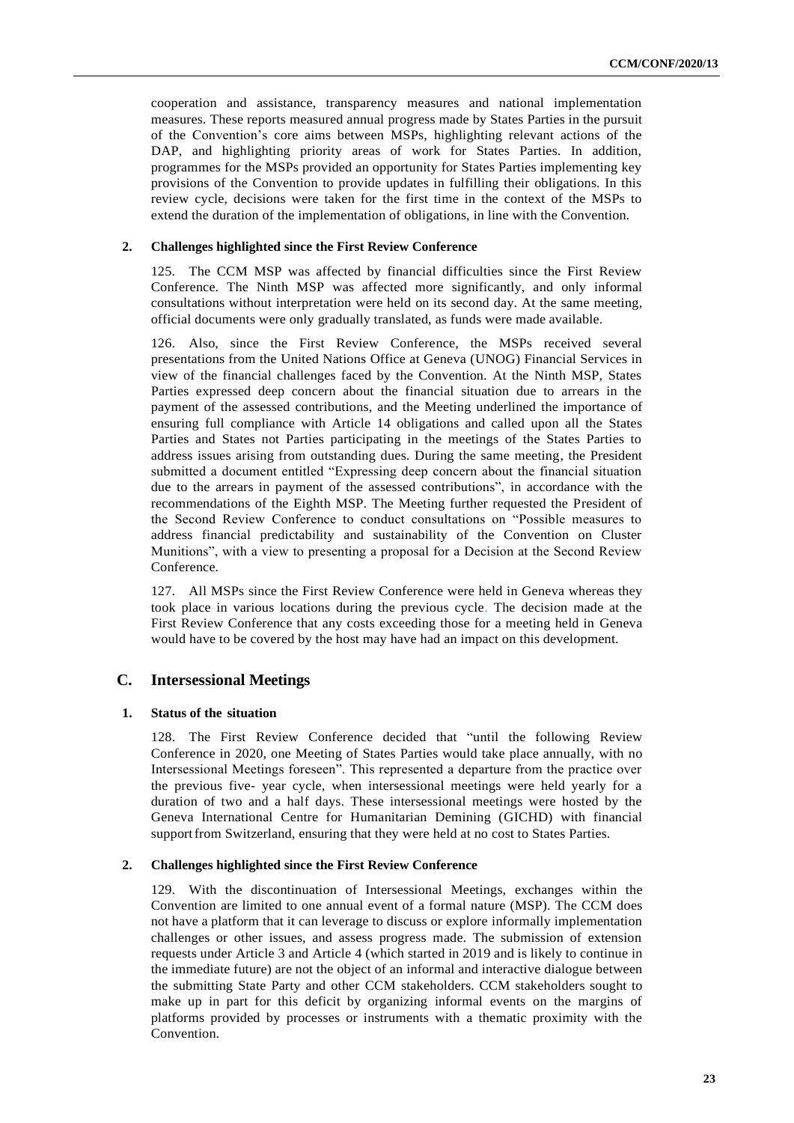cooperation and assistance, transparency measures and national implementation measures. These reports measured annual progress made by States Parties in the pursuit of the Convention's core aims between MSPs, highlighting relevant actions of the DAP, and highlighting priority areas of work for States Parties. In addition, programmes for the MSPs provided an opportunity for States Parties implementing key provisions of the Convention to provide updates in fulfilling their obligations. In this review cycle, decisions were taken for the first time in the context of the MSPs to extend the duration of the implementation of obligations, in line with the Convention.

#### **2. Challenges highlighted since the First Review Conference**

125. The CCM MSP was affected by financial difficulties since the First Review Conference. The Ninth MSP was affected more significantly, and only informal consultations without interpretation were held on its second day. At the same meeting, official documents were only gradually translated, as funds were made available.

126. Also, since the First Review Conference, the MSPs received several presentations from the United Nations Office at Geneva (UNOG) Financial Services in view of the financial challenges faced by the Convention. At the Ninth MSP, States Parties expressed deep concern about the financial situation due to arrears in the payment of the assessed contributions, and the Meeting underlined the importance of ensuring full compliance with Article 14 obligations and called upon all the States Parties and States not Parties participating in the meetings of the States Parties to address issues arising from outstanding dues. During the same meeting, the President submitted a document entitled "Expressing deep concern about the financial situation due to the arrears in payment of the assessed contributions", in accordance with the recommendations of the Eighth MSP. The Meeting further requested the President of the Second Review Conference to conduct consultations on "Possible measures to address financial predictability and sustainability of the Convention on Cluster Munitions", with a view to presenting a proposal for a Decision at the Second Review Conference.

127. All MSPs since the First Review Conference were held in Geneva whereas they took place in various locations during the previous cycle. The decision made at the First Review Conference that any costs exceeding those for a meeting held in Geneva would have to be covered by the host may have had an impact on this development.

#### **C. Intersessional Meetings**

#### **1. Status of the situation**

128. The First Review Conference decided that "until the following Review Conference in 2020, one Meeting of States Parties would take place annually, with no Intersessional Meetings foreseen". This represented a departure from the practice over the previous five- year cycle, when intersessional meetings were held yearly for a duration of two and a half days. These intersessional meetings were hosted by the Geneva International Centre for Humanitarian Demining (GICHD) with financial supportfrom Switzerland, ensuring that they were held at no cost to States Parties.

#### **2. Challenges highlighted since the First Review Conference**

129. With the discontinuation of Intersessional Meetings, exchanges within the Convention are limited to one annual event of a formal nature (MSP). The CCM does not have a platform that it can leverage to discuss or explore informally implementation challenges or other issues, and assess progress made. The submission of extension requests under Article 3 and Article 4 (which started in 2019 and is likely to continue in the immediate future) are not the object of an informal and interactive dialogue between the submitting State Party and other CCM stakeholders. CCM stakeholders sought to make up in part for this deficit by organizing informal events on the margins of platforms provided by processes or instruments with a thematic proximity with the Convention.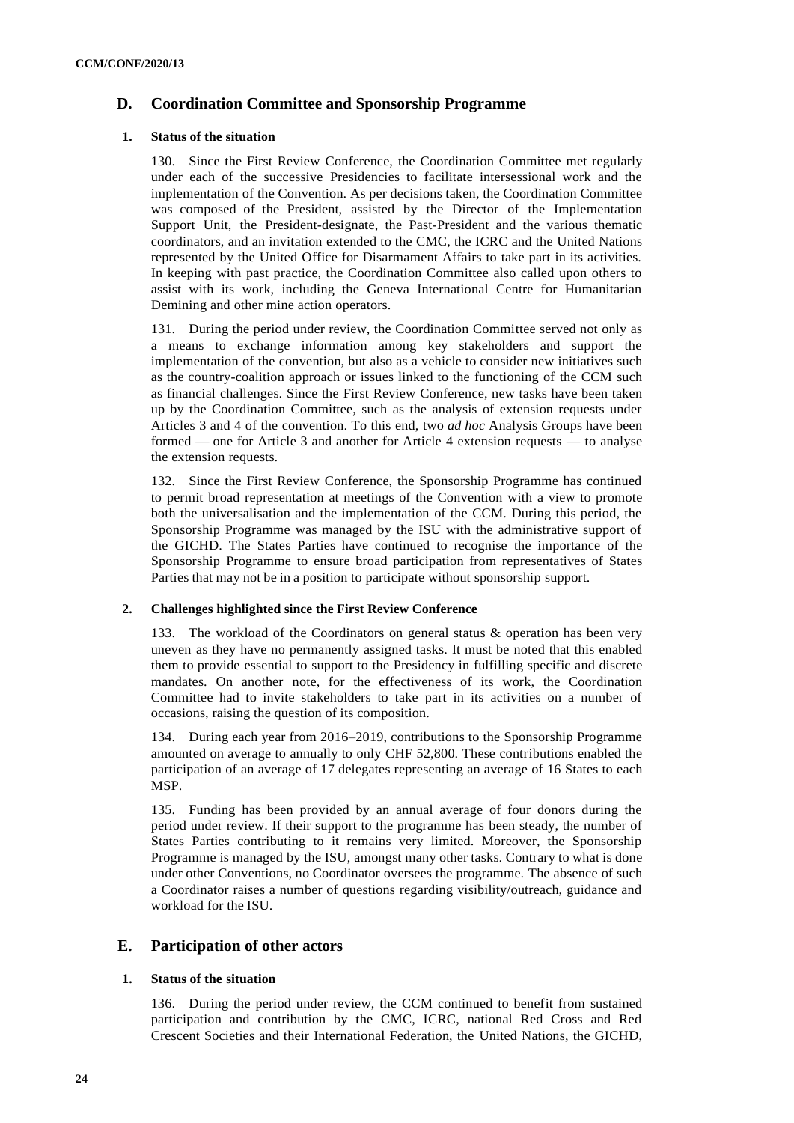## **D. Coordination Committee and Sponsorship Programme**

#### **1. Status of the situation**

130. Since the First Review Conference, the Coordination Committee met regularly under each of the successive Presidencies to facilitate intersessional work and the implementation of the Convention. As per decisions taken, the Coordination Committee was composed of the President, assisted by the Director of the Implementation Support Unit, the President-designate, the Past-President and the various thematic coordinators, and an invitation extended to the CMC, the ICRC and the United Nations represented by the United Office for Disarmament Affairs to take part in its activities. In keeping with past practice, the Coordination Committee also called upon others to assist with its work, including the Geneva International Centre for Humanitarian Demining and other mine action operators.

131. During the period under review, the Coordination Committee served not only as a means to exchange information among key stakeholders and support the implementation of the convention, but also as a vehicle to consider new initiatives such as the country-coalition approach or issues linked to the functioning of the CCM such as financial challenges. Since the First Review Conference, new tasks have been taken up by the Coordination Committee, such as the analysis of extension requests under Articles 3 and 4 of the convention. To this end, two *ad hoc* Analysis Groups have been formed — one for Article 3 and another for Article 4 extension requests — to analyse the extension requests.

132. Since the First Review Conference, the Sponsorship Programme has continued to permit broad representation at meetings of the Convention with a view to promote both the universalisation and the implementation of the CCM. During this period, the Sponsorship Programme was managed by the ISU with the administrative support of the GICHD. The States Parties have continued to recognise the importance of the Sponsorship Programme to ensure broad participation from representatives of States Parties that may not be in a position to participate without sponsorship support.

#### **2. Challenges highlighted since the First Review Conference**

133. The workload of the Coordinators on general status & operation has been very uneven as they have no permanently assigned tasks. It must be noted that this enabled them to provide essential to support to the Presidency in fulfilling specific and discrete mandates. On another note, for the effectiveness of its work, the Coordination Committee had to invite stakeholders to take part in its activities on a number of occasions, raising the question of its composition.

134. During each year from 2016–2019, contributions to the Sponsorship Programme amounted on average to annually to only CHF 52,800. These contributions enabled the participation of an average of 17 delegates representing an average of 16 States to each MSP.

135. Funding has been provided by an annual average of four donors during the period under review. If their support to the programme has been steady, the number of States Parties contributing to it remains very limited. Moreover, the Sponsorship Programme is managed by the ISU, amongst many other tasks. Contrary to what is done under other Conventions, no Coordinator oversees the programme. The absence of such a Coordinator raises a number of questions regarding visibility/outreach, guidance and workload for the ISU.

#### **E. Participation of other actors**

#### **1. Status of the situation**

136. During the period under review, the CCM continued to benefit from sustained participation and contribution by the CMC, ICRC, national Red Cross and Red Crescent Societies and their International Federation, the United Nations, the GICHD,